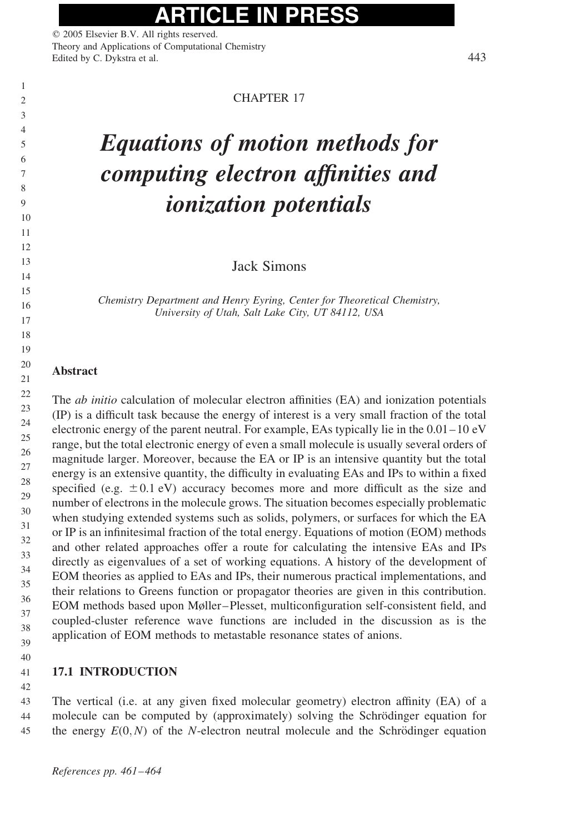$© 2005 Elsevier B.V. All rights reserved.$ ARTICLE IN PRESS

Theory and Applications of Computational Chemistry Edited by C. Dykstra et al. 443

CHAPTER 17

# Equations of motion methods for computing electron affinities and ionization potentials

Jack Simons

Chemistry Department and Henry Eyring, Center for Theoretical Chemistry, University of Utah, Salt Lake City, UT 84112, USA

### Abstract

The ab initio calculation of molecular electron affinities (EA) and ionization potentials (IP) is a difficult task because the energy of interest is a very small fraction of the total electronic energy of the parent neutral. For example, EAs typically lie in the  $0.01 - 10$  eV range, but the total electronic energy of even a small molecule is usually several orders of magnitude larger. Moreover, because the EA or IP is an intensive quantity but the total energy is an extensive quantity, the difficulty in evaluating EAs and IPs to within a fixed specified (e.g.  $\pm 0.1$  eV) accuracy becomes more and more difficult as the size and number of electrons in the molecule grows. The situation becomes especially problematic when studying extended systems such as solids, polymers, or surfaces for which the EA or IP is an infinitesimal fraction of the total energy. Equations of motion (EOM) methods and other related approaches offer a route for calculating the intensive EAs and IPs directly as eigenvalues of a set of working equations. A history of the development of EOM theories as applied to EAs and IPs, their numerous practical implementations, and their relations to Greens function or propagator theories are given in this contribution. EOM methods based upon Møller –Plesset, multiconfiguration self-consistent field, and coupled-cluster reference wave functions are included in the discussion as is the application of EOM methods to metastable resonance states of anions.

17.1 INTRODUCTION

The vertical (i.e. at any given fixed molecular geometry) electron affinity (EA) of a molecule can be computed by (approximately) solving the Schrödinger equation for the energy  $E(0, N)$  of the N-electron neutral molecule and the Schrödinger equation 43 44 45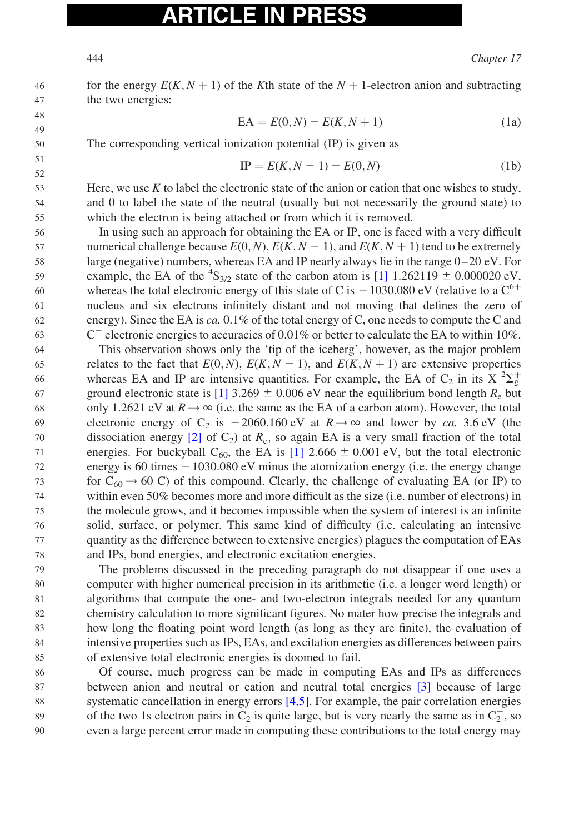444 Chapter 17

for the energy  $E(K, N + 1)$  of the Kth state of the  $N + 1$ -electron anion and subtracting the two energies:

$$
EA = E(0, N) - E(K, N + 1)
$$
 (1a)

The corresponding vertical ionization potential (IP) is given as

$$
IP = E(K, N - 1) - E(0, N)
$$
 (1b)

Here, we use K to label the electronic state of the anion or cation that one wishes to study, and 0 to label the state of the neutral (usually but not necessarily the ground state) to which the electron is being attached or from which it is removed.

In using such an approach for obtaining the EA or IP, one is faced with a very difficult numerical challenge because  $E(0, N)$ ,  $E(K, N - 1)$ , and  $E(K, N + 1)$  tend to be extremely large (negative) numbers, whereas EA and IP nearly always lie in the range 0 –20 eV. For example, the EA of the <sup>4</sup>S<sub>3/2</sub> state of the carbon atom is [\[1\]](#page-18-0) 1.262119  $\pm$  0.000020 eV, whereas the total electronic energy of this state of C is  $-1030.080$  eV (relative to a C<sup>6+</sup> nucleus and six electrons infinitely distant and not moving that defines the zero of energy). Since the EA is ca. 0.1% of the total energy of C, one needs to compute the C and  $C<sup>-</sup>$  electronic energies to accuracies of 0.01% or better to calculate the EA to within 10%. 56 57 58 59 60 61 62 63

This observation shows only the 'tip of the iceberg', however, as the major problem relates to the fact that  $E(0, N)$ ,  $E(K, N - 1)$ , and  $E(K, N + 1)$  are extensive properties whereas EA and IP are intensive quantities. For example, the EA of C<sub>2</sub> in its X <sup>2</sup> $\Sigma_g^+$ ground electronic state is [\[1\]](#page-18-0) 3.269  $\pm$  0.006 eV near the equilibrium bond length  $R_e$  but only 1.2621 eV at  $R \to \infty$  (i.e. the same as the EA of a carbon atom). However, the total electronic energy of C<sub>2</sub> is  $-2060.160 \text{ eV}$  at  $R \rightarrow \infty$  and lower by ca. 3.6 eV (the dissociation energy  $[2]$  of  $C_2$ ) at  $R_e$ , so again EA is a very small fraction of the total energies. For buckyball  $C_{60}$ , the EA is [\[1\]](#page-18-0) 2.666  $\pm$  0.001 eV, but the total electronic energy is 60 times  $-1030.080$  eV minus the atomization energy (i.e. the energy change for  $C_{60} \rightarrow 60$  C) of this compound. Clearly, the challenge of evaluating EA (or IP) to within even 50% becomes more and more difficult as the size (i.e. number of electrons) in the molecule grows, and it becomes impossible when the system of interest is an infinite solid, surface, or polymer. This same kind of difficulty (i.e. calculating an intensive quantity as the difference between to extensive energies) plagues the computation of EAs and IPs, bond energies, and electronic excitation energies. 64 65 66 67 68 69 70 71 72 73 74 75 76 77 78

The problems discussed in the preceding paragraph do not disappear if one uses a computer with higher numerical precision in its arithmetic (i.e. a longer word length) or algorithms that compute the one- and two-electron integrals needed for any quantum chemistry calculation to more significant figures. No mater how precise the integrals and how long the floating point word length (as long as they are finite), the evaluation of intensive properties such as IPs, EAs, and excitation energies as differences between pairs of extensive total electronic energies is doomed to fail. 79 80 81 82 83 84 85

Of course, much progress can be made in computing EAs and IPs as differences between anion and neutral or cation and neutral total energies [\[3\]](#page-18-0) because of large systematic cancellation in energy errors [\[4,5\]](#page-18-0). For example, the pair correlation energies of the two 1s electron pairs in  $C_2$  is quite large, but is very nearly the same as in  $C_2$ , so even a large percent error made in computing these contributions to the total energy may 86 87 88 89 90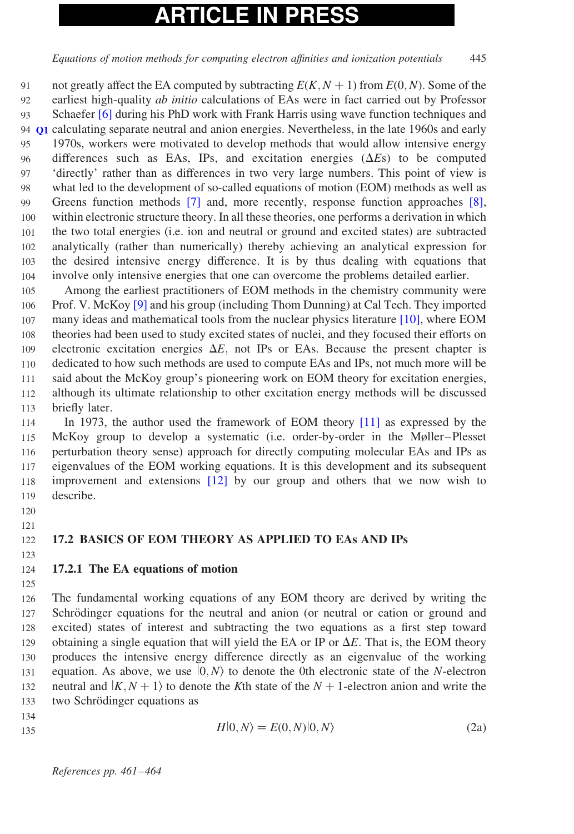Equations of motion methods for computing electron affinities and ionization potentials 445

not greatly affect the EA computed by subtracting  $E(K, N + 1)$  from  $E(0, N)$ . Some of the earliest high-quality *ab initio* calculations of EAs were in fact carried out by Professor Schaefer [\[6\]](#page-19-0) during his PhD work with Frank Harris using wave function techniques and 94 Q1 calculating separate neutral and anion energies. Nevertheless, in the late 1960s and early 1970s, workers were motivated to develop methods that would allow intensive energy differences such as EAs, IPs, and excitation energies  $(\Delta Es)$  to be computed 'directly' rather than as differences in two very large numbers. This point of view is what led to the development of so-called equations of motion (EOM) methods as well as Greens function methods [\[7\]](#page-19-0) and, more recently, response function approaches [\[8\]](#page-19-0), within electronic structure theory. In all these theories, one performs a derivation in which the two total energies (i.e. ion and neutral or ground and excited states) are subtracted analytically (rather than numerically) thereby achieving an analytical expression for the desired intensive energy difference. It is by thus dealing with equations that involve only intensive energies that one can overcome the problems detailed earlier. 91 92 93 95 96 97 98 99 100 101 102 103 104

Among the earliest practitioners of EOM methods in the chemistry community were Prof. V. McKoy [\[9\]](#page-19-0) and his group (including Thom Dunning) at Cal Tech. They imported many ideas and mathematical tools from the nuclear physics literature [\[10\],](#page-19-0) where EOM theories had been used to study excited states of nuclei, and they focused their efforts on electronic excitation energies  $\Delta E$ , not IPs or EAs. Because the present chapter is dedicated to how such methods are used to compute EAs and IPs, not much more will be said about the McKoy group's pioneering work on EOM theory for excitation energies, although its ultimate relationship to other excitation energy methods will be discussed briefly later. 105 106 107 108 109 110 111 112 113

In 1973, the author used the framework of EOM theory [\[11\]](#page-20-0) as expressed by the McKoy group to develop a systematic (i.e. order-by-order in the Møller-Plesset perturbation theory sense) approach for directly computing molecular EAs and IPs as eigenvalues of the EOM working equations. It is this development and its subsequent improvement and extensions [\[12\]](#page-20-0) by our group and others that we now wish to describe. 114 115 116 117 118 119

120 121

#### 17.2 BASICS OF EOM THEORY AS APPLIED TO EAs AND IPs 122

#### 17.2.1 The EA equations of motion 124

125

123

The fundamental working equations of any EOM theory are derived by writing the Schrödinger equations for the neutral and anion (or neutral or cation or ground and excited) states of interest and subtracting the two equations as a first step toward obtaining a single equation that will yield the EA or IP or  $\Delta E$ . That is, the EOM theory produces the intensive energy difference directly as an eigenvalue of the working equation. As above, we use  $|0, N\rangle$  to denote the 0th electronic state of the N-electron neutral and  $|K, N + 1\rangle$  to denote the Kth state of the  $N + 1$ -electron anion and write the two Schrödinger equations as 126 127 128 129 130 131 132 133

134

$$
H|0,N\rangle = E(0,N)|0,N\rangle
$$
 (2a)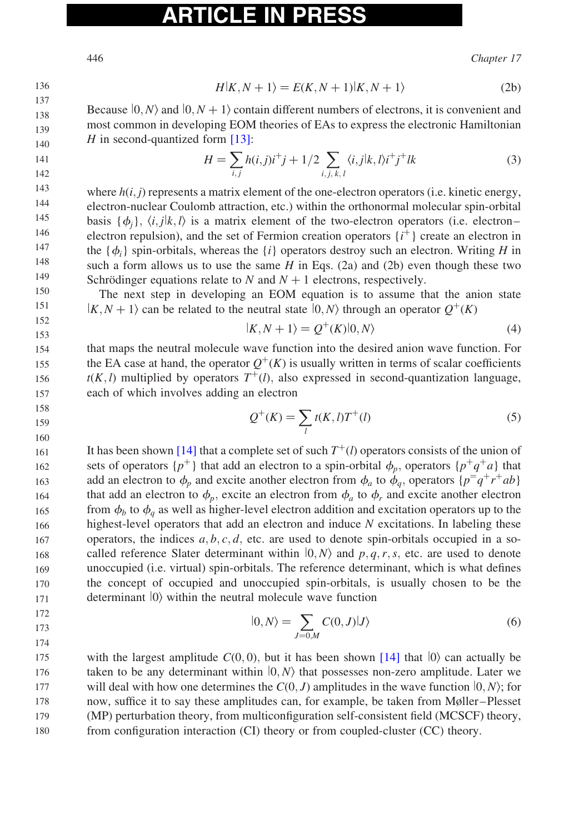446 Chapter 17

$$
H|K, N+1\rangle = E(K, N+1)|K, N+1\rangle \tag{2b}
$$

Because  $|0, N\rangle$  and  $|0, N + 1\rangle$  contain different numbers of electrons, it is convenient and most common in developing EOM theories of EAs to express the electronic Hamiltonian H in second-quantized form  $[13]$ : 138 139 140

$$
H = \sum_{i,j} h(i,j)i^{+}j + 1/2 \sum_{i,j,k,l} \langle i,j|k,l\rangle i^{+}j^{+}lk \tag{3}
$$

where  $h(i, j)$  represents a matrix element of the one-electron operators (i.e. kinetic energy, electron-nuclear Coulomb attraction, etc.) within the orthonormal molecular spin-orbital basis  $\{\phi_i\}, \langle i,j|k, l\rangle$  is a matrix element of the two-electron operators (i.e. electronelectron repulsion), and the set of Fermion creation operators  $\{i^{\dagger}\}$  create an electron in the  $\{\phi_i\}$  spin-orbitals, whereas the  $\{i\}$  operators destroy such an electron. Writing H in such a form allows us to use the same  $H$  in Eqs. (2a) and (2b) even though these two Schrödinger equations relate to N and  $N + 1$  electrons, respectively. 143 144 145 146 147 148 149 150

The next step in developing an EOM equation is to assume that the anion state  $|K, N + 1\rangle$  can be related to the neutral state  $|0, N\rangle$  through an operator  $Q^+(K)$ 

$$
|K, N+1\rangle = Q^+(K)|0, N\rangle
$$
\n(4)

that maps the neutral molecule wave function into the desired anion wave function. For the EA case at hand, the operator  $Q^+(K)$  is usually written in terms of scalar coefficients  $t(K, l)$  multiplied by operators  $T^+(l)$ , also expressed in second-quantization language, each of which involves adding an electron 154 155 156 157

$$
Q^{+}(K) = \sum_{l} t(K, l) T^{+}(l)
$$
\n(5)

It has been shown [\[14\]](#page-20-0) that a complete set of such  $T^+(l)$  operators consists of the union of sets of operators  $\{p^+\}$  that add an electron to a spin-orbital  $\phi_p$ , operators  $\{p^+q^+a\}$  that add an electron to  $\phi_p$  and excite another electron from  $\phi_a$  to  $\phi_q$ , operators  $\{p = q^+r^+ab\}$ that add an electron to  $\phi_p$ , excite an electron from  $\phi_a$  to  $\phi_r$  and excite another electron from  $\phi_h$  to  $\phi_a$  as well as higher-level electron addition and excitation operators up to the highest-level operators that add an electron and induce N excitations. In labeling these operators, the indices  $a, b, c, d$ , etc. are used to denote spin-orbitals occupied in a socalled reference Slater determinant within  $|0, N\rangle$  and  $p, q, r, s$ , etc. are used to denote unoccupied (i.e. virtual) spin-orbitals. The reference determinant, which is what defines the concept of occupied and unoccupied spin-orbitals, is usually chosen to be the determinant  $|0\rangle$  within the neutral molecule wave function 161 162 163 164 165 166 167 168 169 170 171

172 173

174

$$
|0,N\rangle = \sum_{J=0,M} C(0,J)|J\rangle
$$
 (6)

with the largest amplitude  $C(0,0)$ , but it has been shown [\[14\]](#page-20-0) that  $|0\rangle$  can actually be taken to be any determinant within  $|0, N\rangle$  that possesses non-zero amplitude. Later we will deal with how one determines the  $C(0, J)$  amplitudes in the wave function  $|0, N\rangle$ ; for now, suffice it to say these amplitudes can, for example, be taken from Møller –Plesset (MP) perturbation theory, from multiconfiguration self-consistent field (MCSCF) theory, from configuration interaction (CI) theory or from coupled-cluster (CC) theory. 175 176 177 178 179 180

136 137

141 142

151 152 153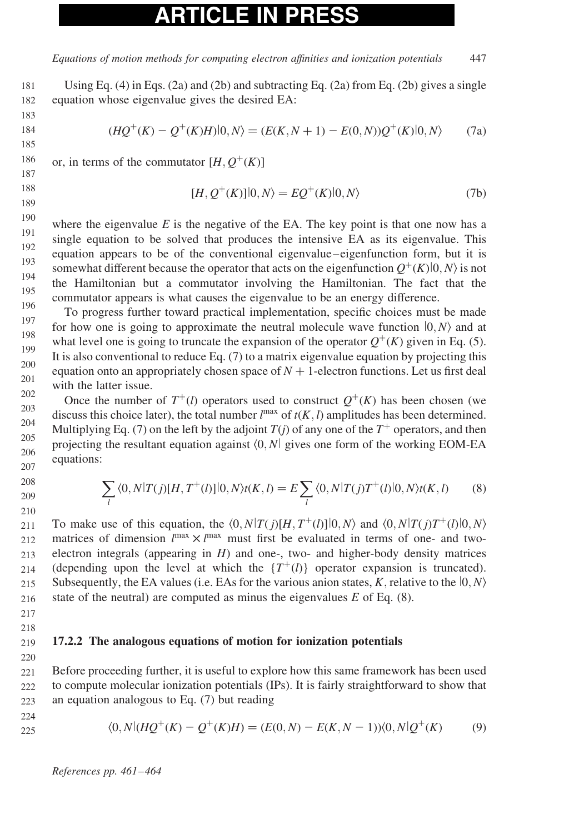### TICLE IN PR

Equations of motion methods for computing electron affinities and ionization potentials 447

Using Eq. (4) in Eqs. (2a) and (2b) and subtracting Eq. (2a) from Eq. (2b) gives a single equation whose eigenvalue gives the desired EA: 181 182

$$
(HQ^{+}(K) - Q^{+}(K)H)|0,N\rangle = (E(K, N + 1) - E(0,N))Q^{+}(K)|0,N\rangle
$$
 (7a)

or, in terms of the commutator  $[H, Q^+(K)]$ 186

$$
[H, Q^{+}(K)]|0, N\rangle = EQ^{+}(K)|0, N\rangle \tag{7b}
$$

where the eigenvalue  $E$  is the negative of the EA. The key point is that one now has a single equation to be solved that produces the intensive EA as its eigenvalue. This equation appears to be of the conventional eigenvalue –eigenfunction form, but it is somewhat different because the operator that acts on the eigenfunction  $Q^+(K)|0, N\rangle$  is not the Hamiltonian but a commutator involving the Hamiltonian. The fact that the commutator appears is what causes the eigenvalue to be an energy difference. 190 191 192 193 194 195 196

To progress further toward practical implementation, specific choices must be made for how one is going to approximate the neutral molecule wave function  $|0, N\rangle$  and at what level one is going to truncate the expansion of the operator  $Q^+(K)$  given in Eq. (5). It is also conventional to reduce Eq. (7) to a matrix eigenvalue equation by projecting this equation onto an appropriately chosen space of  $N + 1$ -electron functions. Let us first deal with the latter issue. 197 198 199 200 201

Once the number of  $T^+(l)$  operators used to construct  $Q^+(K)$  has been chosen (we discuss this choice later), the total number  $l^{\max}$  of  $t(K, l)$  amplitudes has been determined. Multiplying Eq. (7) on the left by the adjoint  $T(j)$  of any one of the  $T^+$  operators, and then projecting the resultant equation against  $(0, N)$  gives one form of the working EOM-EA equations: 202 203 204 205 206 207

$$
\sum_{l} \langle 0, N | T(j) [H, T^+(l)] | 0, N \rangle t(K, l) = E \sum_{l} \langle 0, N | T(j) T^+(l) | 0, N \rangle t(K, l) \tag{8}
$$

To make use of this equation, the  $\langle 0, N|T(j)[H, T^+(l)]|0, N \rangle$  and  $\langle 0, N|T(j)T^+(l)|0, N \rangle$ matrices of dimension  $l^{max} \times l^{max}$  must first be evaluated in terms of one- and twoelectron integrals (appearing in  $H$ ) and one-, two- and higher-body density matrices (depending upon the level at which the  $\{T^+(l)\}$  operator expansion is truncated). Subsequently, the EA values (i.e. EAs for the various anion states, K, relative to the  $|0,N\rangle$ state of the neutral) are computed as minus the eigenvalues  $E$  of Eq. (8). 211 212 213 214 215 216

217 218

208 209 210

183 184 185

187 188 189

#### 17.2.2 The analogous equations of motion for ionization potentials 219

220

224 225

Before proceeding further, it is useful to explore how this same framework has been used to compute molecular ionization potentials (IPs). It is fairly straightforward to show that an equation analogous to Eq. (7) but reading 221 222 223

$$
\langle 0, N | (HQ^+(K) - Q^+(K)H) = (E(0, N) - E(K, N - 1)) \langle 0, N | Q^+(K) \rangle
$$
\n(9)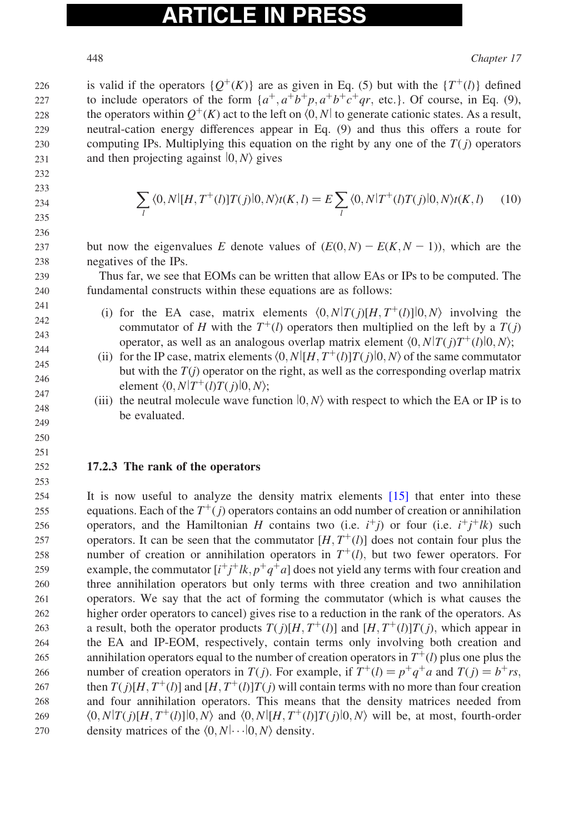## ICLE IN PRES

448 Chapter 17

is valid if the operators  $\{Q^+(K)\}\$ are as given in Eq. (5) but with the  $\{T^+(l)\}\$  defined to include operators of the form  $\{a^+, a^+b^+p, a^+b^+c^+q^r, \text{ etc.}\}$ . Of course, in Eq. (9), the operators within  $Q^+(K)$  act to the left on  $\langle 0, N \rangle$  to generate cationic states. As a result, neutral-cation energy differences appear in Eq. (9) and thus this offers a route for computing IPs. Multiplying this equation on the right by any one of the  $T(i)$  operators and then projecting against  $|0, N\rangle$  gives 226 227 228 229 230 231

$$
\sum_{l} \langle 0, N | [H, T^+(l)] T(j) | 0, N \rangle t(K, l) = E \sum_{l} \langle 0, N | T^+(l) T(j) | 0, N \rangle t(K, l) \tag{10}
$$

but now the eigenvalues E denote values of  $(E(0, N) - E(K, N - 1))$ , which are the negatives of the IPs.

Thus far, we see that EOMs can be written that allow EAs or IPs to be computed. The fundamental constructs within these equations are as follows:

- (i) for the EA case, matrix elements  $\langle 0, N|T(j)|H, T^+(l)|0, N \rangle$  involving the commutator of H with the  $T^+(l)$  operators then multiplied on the left by a  $T(i)$ operator, as well as an analogous overlap matrix element  $\langle 0, N|T(j)T^+(l)|0, N \rangle$ ;
- (ii) for the IP case, matrix elements  $\langle 0, N | [H, T^+(l)]T(j) | 0, N \rangle$  of the same commutator but with the  $T(j)$  operator on the right, as well as the corresponding overlap matrix element  $\langle 0, N | T^+(l)T(j) | 0, N \rangle$ ;
- (iii) the neutral molecule wave function  $|0, N\rangle$  with respect to which the EA or IP is to be evaluated.

### 17.2.3 The rank of the operators

It is now useful to analyze the density matrix elements [\[15\]](#page-20-0) that enter into these equations. Each of the  $T^+(i)$  operators contains an odd number of creation or annihilation operators, and the Hamiltonian H contains two (i.e.  $i^+j$ ) or four (i.e.  $i^+j^+lk$ ) such operators. It can be seen that the commutator  $[H, T^+(l)]$  does not contain four plus the number of creation or annihilation operators in  $T^+(l)$ , but two fewer operators. For example, the commutator  $[i^+j^+lk, p^+q^{\bar{k}}a]$  does not yield any terms with four creation and three annihilation operators but only terms with three creation and two annihilation operators. We say that the act of forming the commutator (which is what causes the higher order operators to cancel) gives rise to a reduction in the rank of the operators. As a result, both the operator products  $T(j)[H, T^+(l)]$  and  $[H, T^+(l)]T(j)$ , which appear in the EA and IP-EOM, respectively, contain terms only involving both creation and annihilation operators equal to the number of creation operators in  $T^+(l)$  plus one plus the number of creation operators in  $T(j)$ . For example, if  $T^+(l) = p^+q^+a$  and  $T(j) = b^+rs$ , then  $T(j)[H, T^+(l)]$  and  $[H, T^+(l)]T(j)$  will contain terms with no more than four creation and four annihilation operators. This means that the density matrices needed from  $\langle 0, N|T(j)|H, T^+(l)|0, N \rangle$  and  $\langle 0, N|H, T^+(l)|T(j)|0, N \rangle$  will be, at most, fourth-order density matrices of the  $\langle 0, N | \cdots | 0, N \rangle$  density. 254 255 256 257 258 259 260 261 262 263 264 265 266 267 268 269 270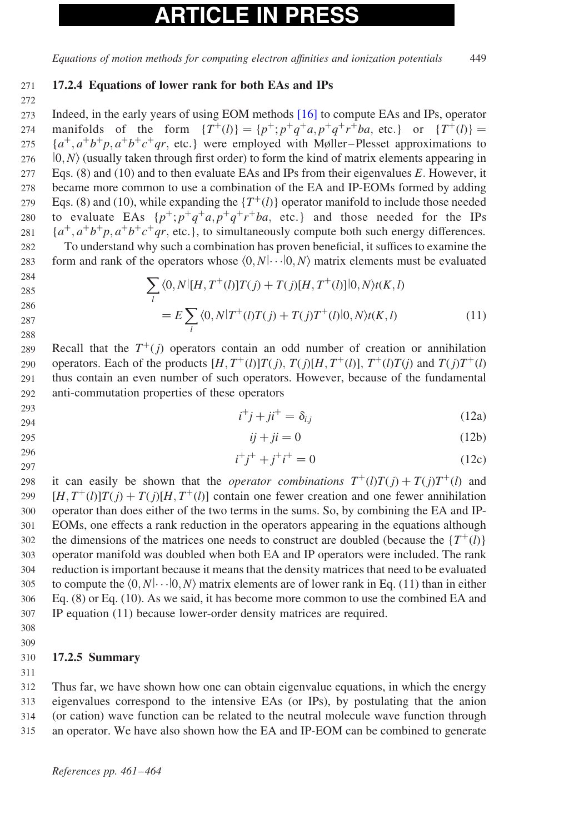## RTICLE IN PRE

Equations of motion methods for computing electron affinities and ionization potentials 449

#### 17.2.4 Equations of lower rank for both EAs and IPs 271

Indeed, in the early years of using EOM methods [\[16\]](#page-20-0) to compute EAs and IPs, operator manifolds of the form  $\{T^+(l)\} = \{p^+; p^+q^+a, p^+q^+r^+ba, \text{ etc.}\}$  or  $\{T^+(l)\} =$  ${a^+, a^+b^+p, a^+b^+c^+ar,$  etc.} were employed with Møller-Plesset approximations to  $|0, N\rangle$  (usually taken through first order) to form the kind of matrix elements appearing in Eqs.  $(8)$  and  $(10)$  and to then evaluate EAs and IPs from their eigenvalues E. However, it became more common to use a combination of the EA and IP-EOMs formed by adding Eqs. (8) and (10), while expanding the  $\{T^+(l)\}$  operator manifold to include those needed to evaluate EAs  $\{p^+; p^+q^+a, p^+q^+r^+ba, \text{ etc.}\}$  and those needed for the IPs  $\{a^+, a^+b^+p, a^+b^+c^+q^r, \text{ etc.}\}\$ , to simultaneously compute both such energy differences. To understand why such a combination has proven beneficial, it suffices to examine the 273 274 275 276 277 278 279 280 281 282

form and rank of the operators whose  $(0, N | \cdots | 0, N)$  matrix elements must be evaluated 283

$$
\frac{284}{285}
$$

286 287 288

272

$$
\sum_{l} \langle 0, N | [H, T^{+}(l)]T(j) + T(j)[H, T^{+}(l)] | 0, N \rangle t(K, l)
$$
  
=  $E \sum_{l} \langle 0, N | T^{+}(l)T(j) + T(j)T^{+}(l) | 0, N \rangle t(K, l)$  (11)

Recall that the  $T^+(i)$  operators contain an odd number of creation or annihilation operators. Each of the products  $[H, T^+(l)]T(j), T(j)[H, T^+(l)], T^+(l)T(j)$  and  $T(j)T^+(l)$ thus contain an even number of such operators. However, because of the fundamental anti-commutation properties of these operators 289 290 291 292

$$
i^+j + ji^+ = \delta_{i,j} \tag{12a}
$$

$$
ij + ji = 0 \tag{12b}
$$

295 296 297

293 294

$$
i^+j^+ + j^+i^+ = 0 \tag{12c}
$$

it can easily be shown that the *operator combinations*  $T^+(l)T(j) + T(j)T^+(l)$  and  $[H, T^+(l)]T(j) + T(j)[H, T^+(l)]$  contain one fewer creation and one fewer annihilation operator than does either of the two terms in the sums. So, by combining the EA and IP-EOMs, one effects a rank reduction in the operators appearing in the equations although the dimensions of the matrices one needs to construct are doubled (because the  $\{T^+(l)\}$ operator manifold was doubled when both EA and IP operators were included. The rank reduction is important because it means that the density matrices that need to be evaluated to compute the  $\langle 0, N | \cdots | 0, N \rangle$  matrix elements are of lower rank in Eq. (11) than in either Eq. (8) or Eq. (10). As we said, it has become more common to use the combined EA and IP equation (11) because lower-order density matrices are required. 298 299 300 301 302 303 304 305 306 307

308 309

#### 17.2.5 Summary 310

311

Thus far, we have shown how one can obtain eigenvalue equations, in which the energy eigenvalues correspond to the intensive EAs (or IPs), by postulating that the anion (or cation) wave function can be related to the neutral molecule wave function through an operator. We have also shown how the EA and IP-EOM can be combined to generate 312 313 314 315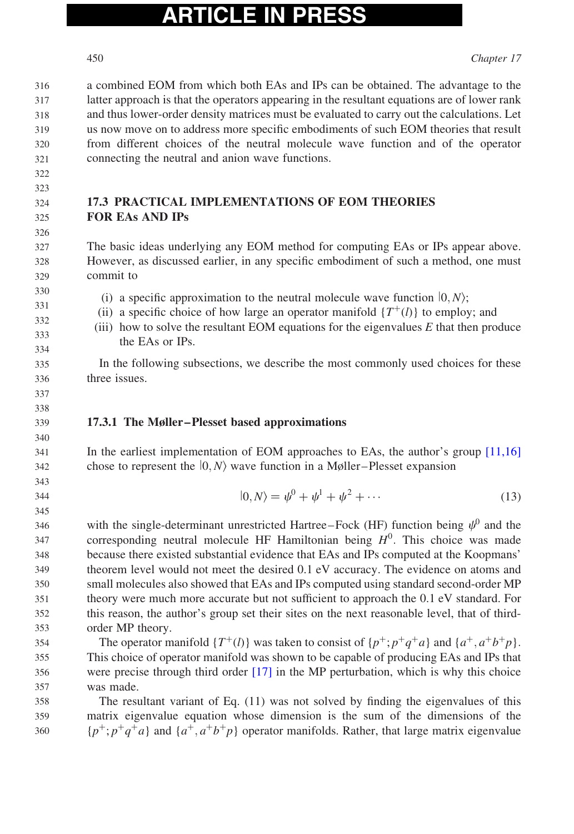FOR EAs AND IPs

450 Chapter 17

a combined EOM from which both EAs and IPs can be obtained. The advantage to the latter approach is that the operators appearing in the resultant equations are of lower rank and thus lower-order density matrices must be evaluated to carry out the calculations. Let us now move on to address more specific embodiments of such EOM theories that result from different choices of the neutral molecule wave function and of the operator connecting the neutral and anion wave functions. 316 317 318 319 320 321

17.3 PRACTICAL IMPLEMENTATIONS OF EOM THEORIES

322 323

### 324

### 325

326 327

The basic ideas underlying any EOM method for computing EAs or IPs appear above. However, as discussed earlier, in any specific embodiment of such a method, one must commit to

- (i) a specific approximation to the neutral molecule wave function  $|0, N\rangle$ ;
- (ii) a specific choice of how large an operator manifold  $\{T^+(l)\}\$  to employ; and
- (iii) how to solve the resultant EOM equations for the eigenvalues  $E$  that then produce the EAs or IPs.

In the following subsections, we describe the most commonly used choices for these three issues.

### 17.3.1 The Møller–Plesset based approximations

In the earliest implementation of EOM approaches to EAs, the author's group [\[11,16\]](#page-20-0) chose to represent the  $|0, N\rangle$  wave function in a Møller–Plesset expansion

$$
|0, N\rangle = \psi^0 + \psi^1 + \psi^2 + \cdots
$$
 (13)

with the single-determinant unrestricted Hartree–Fock (HF) function being  $\psi^0$  and the corresponding neutral molecule HF Hamiltonian being  $H^0$ . This choice was made because there existed substantial evidence that EAs and IPs computed at the Koopmans' theorem level would not meet the desired 0.1 eV accuracy. The evidence on atoms and small molecules also showed that EAs and IPs computed using standard second-order MP theory were much more accurate but not sufficient to approach the 0.1 eV standard. For this reason, the author's group set their sites on the next reasonable level, that of thirdorder MP theory. 346 347 348 349 350 351 352 353

The operator manifold  $\{T^+(l)\}$  was taken to consist of  $\{p^+; p^+q^+a\}$  and  $\{a^+, a^+b^+p\}$ . This choice of operator manifold was shown to be capable of producing EAs and IPs that were precise through third order  $[17]$  in the MP perturbation, which is why this choice was made. 354 355 356 357

The resultant variant of Eq. (11) was not solved by finding the eigenvalues of this matrix eigenvalue equation whose dimension is the sum of the dimensions of the  $\{p^+, p^+q^+a\}$  and  $\{a^+, a^+b^+p\}$  operator manifolds. Rather, that large matrix eigenvalue 358 359 360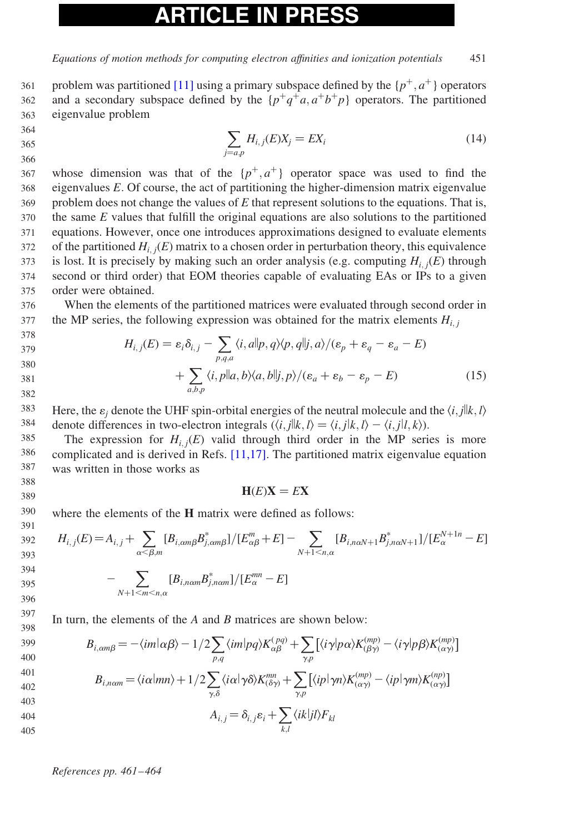## TICLE IN PR

Equations of motion methods for computing electron affinities and ionization potentials 451

problem was partitioned [\[11\]](#page-20-0) using a primary subspace defined by the  $\{p^+, a^+\}$  operators and a secondary subspace defined by the  $\{p^+q^+a, a^+b^+p\}$  operators. The partitioned eigenvalue problem 361 362 363

$$
\frac{364}{365}
$$

366

$$
\sum_{j=a,p} H_{i,j}(E)X_j = EX_i
$$
\n(14)

whose dimension was that of the  $\{p^+, a^+\}$  operator space was used to find the eigenvalues  $E$ . Of course, the act of partitioning the higher-dimension matrix eigenvalue problem does not change the values of E that represent solutions to the equations. That is, the same  $E$  values that fulfill the original equations are also solutions to the partitioned equations. However, once one introduces approximations designed to evaluate elements of the partitioned  $H_{i,j}(E)$  matrix to a chosen order in perturbation theory, this equivalence is lost. It is precisely by making such an order analysis (e.g. computing  $H_i$ ;  $(E)$  through second or third order) that EOM theories capable of evaluating EAs or IPs to a given order were obtained. 367 368 369 370 371 372 373 374 375

When the elements of the partitioned matrices were evaluated through second order in the MP series, the following expression was obtained for the matrix elements  $H_{i,i}$ 376 377

$$
\frac{378}{379}
$$

380 381 382

389

391

$$
H_{i,j}(E) = \varepsilon_i \delta_{i,j} - \sum_{p,q,a} \langle i, a \vert p, q \rangle \langle p, q \vert j, a \rangle / (\varepsilon_p + \varepsilon_q - \varepsilon_a - E)
$$
  
+ 
$$
\sum_{a,b,p} \langle i, p \vert \vert a, b \rangle \langle a, b \vert j, p \rangle / (\varepsilon_a + \varepsilon_b - \varepsilon_p - E)
$$
(15)

Here, the  $\varepsilon_i$  denote the UHF spin-orbital energies of the neutral molecule and the  $\langle i, j \parallel k, l \rangle$ denote differences in two-electron integrals  $\langle \langle i, j | k, l \rangle = \langle i, j | k, l \rangle - \langle i, j | l, k \rangle$ ). 383 384

The expression for  $H_{i,j}(E)$  valid through third order in the MP series is more complicated and is derived in Refs. [\[11,17\]](#page-20-0). The partitioned matrix eigenvalue equation was written in those works as 385 386 387 388

 $H(E)X = EX$ 

where the elements of the **H** matrix were defined as follows: 390

$$
391 \n392 \n393 \nH_{i,j}(E) = A_{i,j} + \sum_{\alpha < \beta,m} [B_{i,\alpha m\beta} B_{j,\alpha m\beta}^*]/[E_{\alpha\beta}^m + E] - \sum_{N+1 < n,\alpha} [B_{i,n\alpha N+1} B_{j,n\alpha N+1}^*]/[E_{\alpha}^{N+1n} - E]
$$

395 
$$
- \sum_{N+1 \le m \le n, \alpha} [B_{i,n\alpha m} B_{j,n\alpha m}^*]/[E_\alpha^{mn} - E]
$$
396

In turn, the elements of the  $A$  and  $B$  matrices are shown below: 397 398

399 
$$
B_{i, \alpha m\beta} = -\langle im|\alpha\beta\rangle - 1/2 \sum_{p,q} \langle im|pq\rangle K_{\alpha\beta}^{(pq)} + \sum_{\gamma,p} \left[ \langle i\gamma|p\alpha\rangle K_{(\beta\gamma)}^{(mp)} - \langle i\gamma|p\beta\rangle K_{(\alpha\gamma)}^{(mp)} \right]
$$
  
401

$$
B_{i,n\alpha m} = \langle i\alpha | mn \rangle + 1/2 \sum_{\gamma,\delta} \langle i\alpha | \gamma \delta \rangle K_{(\delta\gamma)}^{mn} + \sum_{\gamma,p} \left[ \langle ip | \gamma n \rangle K_{(\alpha\gamma)}^{(mp)} - \langle ip | \gamma m \rangle K_{(\alpha\gamma)}^{(np)} \right]
$$

$$
402\n\n403\n\n404\n\n405
$$

404

$$
A_{i,j} = \delta_{i,j} \varepsilon_i + \sum_{k,l} \langle ik|jl \rangle F_{kl}
$$

References pp. 461–464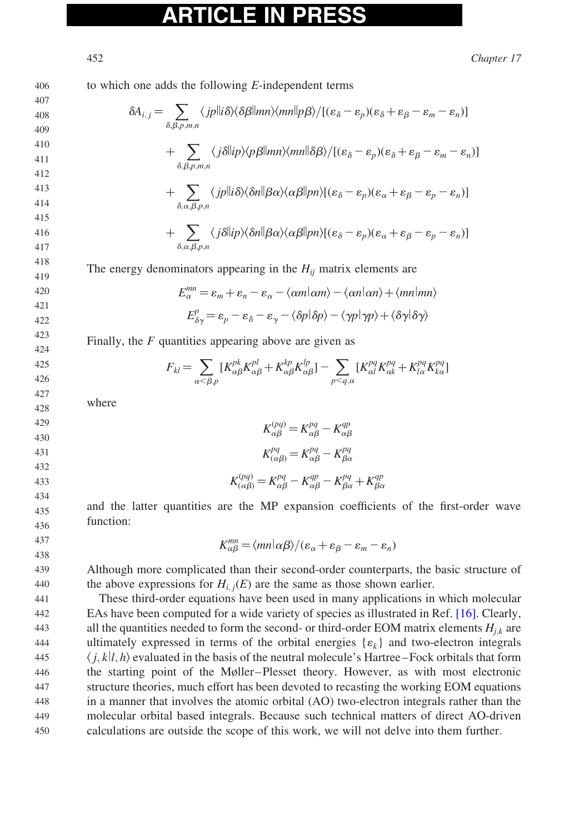### **ICLE IN PRESS**

452 Chapter 17

to which one adds the following  $E$ -independent terms  $\delta A_{i,j} = \sum_{i=1}^{n} A_{i,j}$  $\delta, \beta, p, m, n$  $\langle jpl|i\delta\rangle\langle\delta\beta|mn\rangle\langle mn||p\beta\rangle/[(\varepsilon_{\delta}-\varepsilon_{p})(\varepsilon_{\delta}+\varepsilon_{\beta}-\varepsilon_{m}-\varepsilon_{n})]$  $+$   $\overline{y}$  $\delta, \beta, p, m, n$  $k \langle j\delta$ llip $\rangle\langle p\beta$ llmn $\rangle\langle mn||\delta\beta\rangle/[(\varepsilon_{\delta}-\varepsilon_{p})(\varepsilon_{\delta}+\varepsilon_{\beta}-\varepsilon_{m}-\varepsilon_{n})]$  $+$   $\overline{y}$  $\delta, \alpha, \beta, p, n$  $\langle jp\|i\delta\rangle\langle\delta n\|\beta\alpha\rangle\langle\alpha\beta\|pn\rangle[(\varepsilon_{\delta}-\varepsilon_{p})(\varepsilon_{\alpha}+\varepsilon_{\beta}-\varepsilon_{p}-\varepsilon_{n})]$  $+$   $\overline{y}$  $_{\delta,\alpha,\beta,p,n}$  $k \langle j\delta$ llip $\rangle$  $\langle \delta n \|\beta \alpha \rangle \langle \alpha \beta \|pn \rangle$ [ $(\varepsilon_{\delta} - \varepsilon_{p})(\varepsilon_{\alpha} + \varepsilon_{\beta} - \varepsilon_{p} - \varepsilon_{n})$ ] The energy denominators appearing in the  $H_{ij}$  matrix elements are  $E_{\alpha}^{mn} = \varepsilon_m + \varepsilon_n - \varepsilon_{\alpha} - \langle \alpha m | \alpha m \rangle - \langle \alpha n | \alpha n \rangle + \langle m n | m n \rangle$  $E_{\delta\gamma}^p = \varepsilon_p - \varepsilon_\delta - \varepsilon_\gamma - \langle \delta p | \delta p \rangle - \langle \gamma p | \gamma p \rangle + \langle \delta \gamma | \delta \gamma \rangle$ Finally, the  $F$  quantities appearing above are given as  $F_{kl} = \sum$  $\alpha<\beta,p$  $[K_{\alpha\beta}^{pk}K_{\alpha\beta}^{pl}+K_{\alpha\beta}^{kp}K_{\alpha\beta}^{lp}]-\sum_{p$  $[K^{pq}_{\alpha l} K^{pq}_{\alpha k} + K^{pq}_{l\alpha} K^{pq}_{k\alpha}]$ where  $K_{\alpha\beta}^{(pq)} = K_{\alpha\beta}^{pq} - K_{\alpha\beta}^{qp}$  $K^{pq}_{(\alpha\beta)} = K^{pq}_{\alpha\beta} - K^{pq}_{\beta\alpha}$  $K_{(\alpha\beta)}^{(pq)} = K_{\alpha\beta}^{pq} - K_{\alpha\beta}^{qp} - K_{\beta\alpha}^{pq} + K_{\beta\alpha}^{qp}$ and the latter quantities are the MP expansion coefficients of the first-order wave function:  $K_{\alpha\beta}^{mn} = \langle mn|\alpha\beta\rangle/(\varepsilon_{\alpha} + \varepsilon_{\beta} - \varepsilon_m - \varepsilon_n)$ Although more complicated than their second-order counterparts, the basic structure of the above expressions for  $H_{i,j}(E)$  are the same as those shown earlier. These third-order equations have been used in many applications in which molecular EAs have been computed for a wide variety of species as illustrated in Ref. [\[16\]](#page-20-0). Clearly, all the quantities needed to form the second- or third-order EOM matrix elements  $H_{i,k}$  are ultimately expressed in terms of the orbital energies  $\{\varepsilon_k\}$  and two-electron integrals  $\langle j, k|l, h \rangle$  evaluated in the basis of the neutral molecule's Hartree–Fock orbitals that form the starting point of the Møller –Plesset theory. However, as with most electronic structure theories, much effort has been devoted to recasting the working EOM equations in a manner that involves the atomic orbital (AO) two-electron integrals rather than the molecular orbital based integrals. Because such technical matters of direct AO-driven calculations are outside the scope of this work, we will not delve into them further. 406 407 408 409 410 411 412 413 414 415 416 417 418 419 420 421 422 423 424 425 426 427 428 429 430 431 432 433 434 435 436 437 438 439 440 441 442 443 444 445 446 447 448 449 450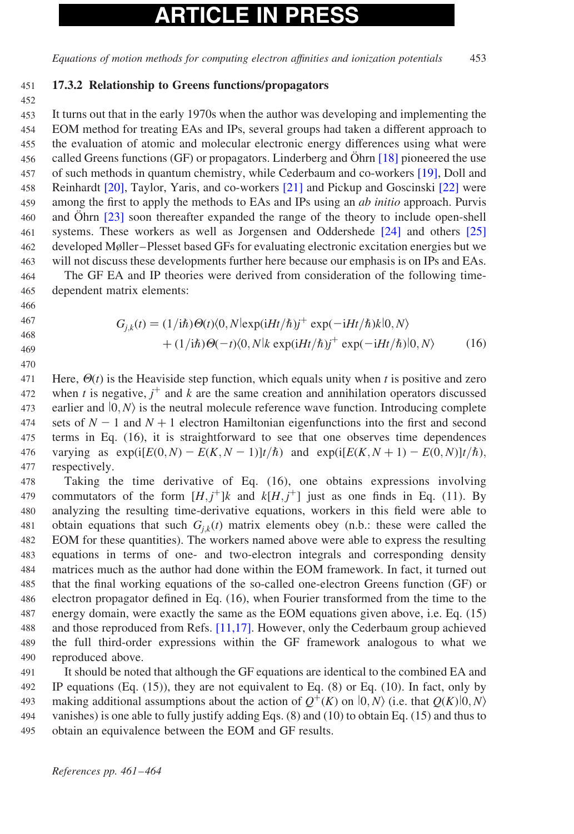Equations of motion methods for computing electron affinities and ionization potentials 453

### 17.3.2 Relationship to Greens functions/propagators 451

It turns out that in the early 1970s when the author was developing and implementing the EOM method for treating EAs and IPs, several groups had taken a different approach to the evaluation of atomic and molecular electronic energy differences using what were called Greens functions (GF) or propagators. Linderberg and Öhrn  $[18]$  pioneered the use of such methods in quantum chemistry, while Cederbaum and co-workers [\[19\]](#page-20-0), Doll and Reinhardt [\[20\]](#page-20-0), Taylor, Yaris, and co-workers [\[21\]](#page-20-0) and Pickup and Goscinski [\[22\]](#page-20-0) were among the first to apply the methods to EAs and IPs using an *ab initio* approach. Purvis and  $\ddot{\text{Ohrn}}$  [\[23\]](#page-20-0) soon thereafter expanded the range of the theory to include open-shell systems. These workers as well as Jorgensen and Oddershede [\[24\]](#page-20-0) and others [\[25\]](#page-20-0) developed Møller –Plesset based GFs for evaluating electronic excitation energies but we will not discuss these developments further here because our emphasis is on IPs and EAs. The GF EA and IP theories were derived from consideration of the following time-453 454 455 456 457 458 459 460 461 462 463 464

dependent matrix elements: 465

466

452

- 467 468
- 469 470

 $G_{j,k}(t) = (1/i\hbar)\Theta(t)\langle 0, N|\exp(iHt/\hbar)j^{+}\exp(-iHt/\hbar)k|0, N\rangle$  $+(1/i\hbar)\Theta(-t)\langle 0, N|k \exp(iHt/\hbar)j^+ \exp(-iHt/\hbar)|0, N\rangle$  (16)

Here,  $\Theta(t)$  is the Heaviside step function, which equals unity when t is positive and zero when t is negative,  $j^{+}$  and k are the same creation and annihilation operators discussed earlier and  $\vert 0, N \rangle$  is the neutral molecule reference wave function. Introducing complete sets of  $N-1$  and  $N+1$  electron Hamiltonian eigenfunctions into the first and second terms in Eq. (16), it is straightforward to see that one observes time dependences varying as  $exp(i[E(0, N) - E(K, N-1)]t/\hbar)$  and  $exp(i[E(K, N+1) - E(0, N)]t/\hbar)$ , respectively. 471 472 473 474 475 476 477

Taking the time derivative of Eq. (16), one obtains expressions involving commutators of the form  $[H, j^+]k$  and  $k[H, j^+]$  just as one finds in Eq. (11). By analyzing the resulting time-derivative equations, workers in this field were able to obtain equations that such  $G_{i,k}(t)$  matrix elements obey (n.b.: these were called the EOM for these quantities). The workers named above were able to express the resulting equations in terms of one- and two-electron integrals and corresponding density matrices much as the author had done within the EOM framework. In fact, it turned out that the final working equations of the so-called one-electron Greens function (GF) or electron propagator defined in Eq. (16), when Fourier transformed from the time to the energy domain, were exactly the same as the EOM equations given above, i.e. Eq. (15) and those reproduced from Refs. [\[11,17\]](#page-20-0). However, only the Cederbaum group achieved the full third-order expressions within the GF framework analogous to what we reproduced above. 478 479 480 481 482 483 484 485 486 487 488 489 490

It should be noted that although the GF equations are identical to the combined EA and IP equations  $(Eq. (15))$ , they are not equivalent to Eq.  $(8)$  or Eq.  $(10)$ . In fact, only by making additional assumptions about the action of  $Q^+(K)$  on  $|0,N\rangle$  (i.e. that  $Q(K)|0,N\rangle$ vanishes) is one able to fully justify adding Eqs. (8) and (10) to obtain Eq. (15) and thus to obtain an equivalence between the EOM and GF results. 491 492 493 494 495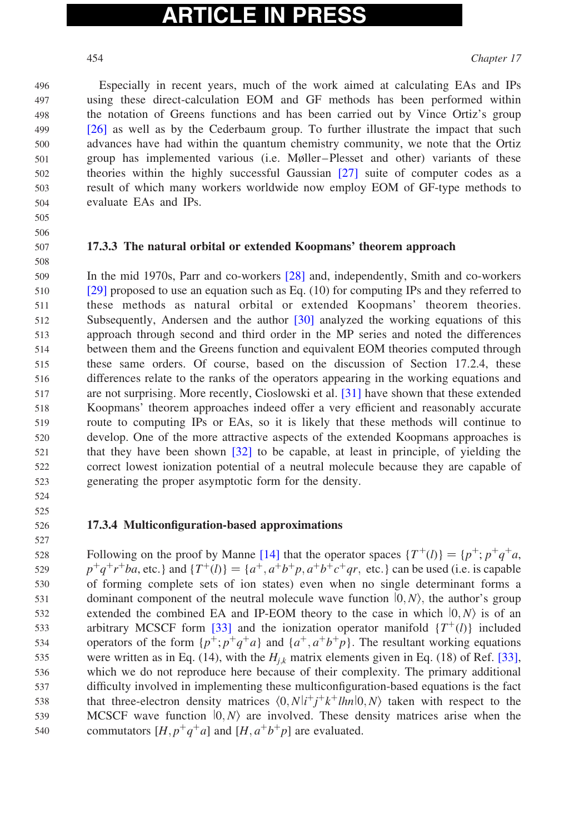Especially in recent years, much of the work aimed at calculating EAs and IPs using these direct-calculation EOM and GF methods has been performed within the notation of Greens functions and has been carried out by Vince Ortiz's group [\[26\]](#page-20-0) as well as by the Cederbaum group. To further illustrate the impact that such advances have had within the quantum chemistry community, we note that the Ortiz group has implemented various (i.e. Møller–Plesset and other) variants of these theories within the highly successful Gaussian [\[27\]](#page-20-0) suite of computer codes as a result of which many workers worldwide now employ EOM of GF-type methods to evaluate EAs and IPs.

508

### 17.3.3 The natural orbital or extended Koopmans' theorem approach

In the mid 1970s, Parr and co-workers [\[28\]](#page-21-0) and, independently, Smith and co-workers [\[29\]](#page-21-0) proposed to use an equation such as Eq. (10) for computing IPs and they referred to these methods as natural orbital or extended Koopmans' theorem theories. Subsequently, Andersen and the author [\[30\]](#page-21-0) analyzed the working equations of this approach through second and third order in the MP series and noted the differences between them and the Greens function and equivalent EOM theories computed through these same orders. Of course, based on the discussion of Section 17.2.4, these differences relate to the ranks of the operators appearing in the working equations and are not surprising. More recently, Cioslowski et al. [\[31\]](#page-21-0) have shown that these extended Koopmans' theorem approaches indeed offer a very efficient and reasonably accurate route to computing IPs or EAs, so it is likely that these methods will continue to develop. One of the more attractive aspects of the extended Koopmans approaches is that they have been shown [\[32\]](#page-21-0) to be capable, at least in principle, of yielding the correct lowest ionization potential of a neutral molecule because they are capable of generating the proper asymptotic form for the density. 509 510 511 512 513 514 515 516 517 518 519 520 521 522 523

524 525

526 527

### 17.3.4 Multiconfiguration-based approximations

Following on the proof by Manne [\[14\]](#page-20-0) that the operator spaces  $\{T^+(l)\} = \{p^+; p^+q^+a, \}$  $p^+q^+r^+ba$ , etc.} and  $\{T^+(l)\} = \{a^+, a^+b^+p, a^+b^+c^+qr,$  etc.} can be used (i.e. is capable of forming complete sets of ion states) even when no single determinant forms a dominant component of the neutral molecule wave function  $|0, N\rangle$ , the author's group extended the combined EA and IP-EOM theory to the case in which  $|0,N\rangle$  is of an arbitrary MCSCF form [\[33\]](#page-21-0) and the ionization operator manifold  $\{T^+(l)\}\$ included operators of the form  $\{p^+; p^+q^+a\}$  and  $\{a^+, a^+b^+p\}$ . The resultant working equations were written as in Eq. (14), with the  $H_{i,k}$  matrix elements given in Eq. (18) of Ref. [\[33\],](#page-21-0) which we do not reproduce here because of their complexity. The primary additional difficulty involved in implementing these multiconfiguration-based equations is the fact that three-electron density matrices  $\langle 0, N | i^+ j^+ k^+ l h n | 0, N \rangle$  taken with respect to the MCSCF wave function  $|0, N\rangle$  are involved. These density matrices arise when the commutators  $[H, p^+q^+a]$  and  $[H, a^+b^+p]$  are evaluated. 528 529 530 531 532 533 534 535 536 537 538 539 540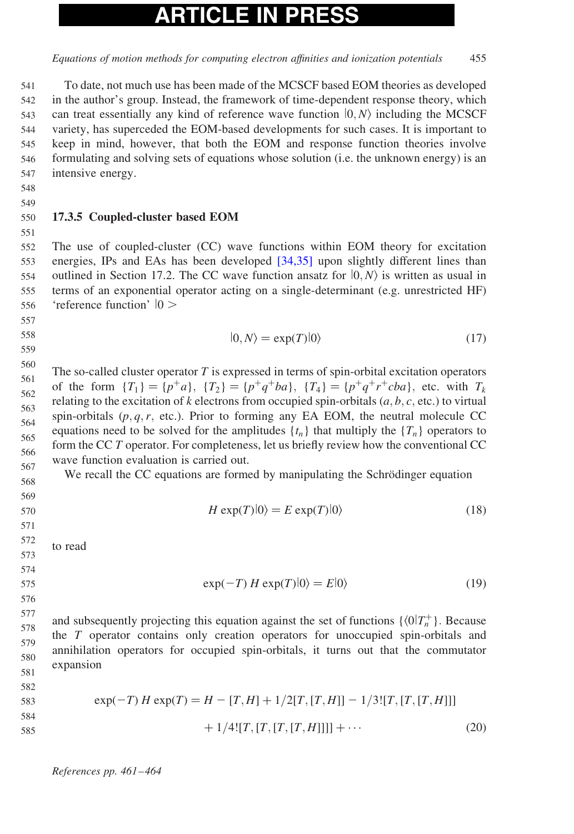## TICLE IN PRE

Equations of motion methods for computing electron affinities and ionization potentials 455

To date, not much use has been made of the MCSCF based EOM theories as developed in the author's group. Instead, the framework of time-dependent response theory, which can treat essentially any kind of reference wave function  $|0, N\rangle$  including the MCSCF variety, has superceded the EOM-based developments for such cases. It is important to keep in mind, however, that both the EOM and response function theories involve formulating and solving sets of equations whose solution (i.e. the unknown energy) is an intensive energy. 541 542 543 544 545 546 547

548 549

551

557 558 559

### 17.3.5 Coupled-cluster based EOM 550

The use of coupled-cluster (CC) wave functions within EOM theory for excitation energies, IPs and EAs has been developed [\[34,35\]](#page-21-0) upon slightly different lines than outlined in Section 17.2. The CC wave function ansatz for  $|0, N\rangle$  is written as usual in terms of an exponential operator acting on a single-determinant (e.g. unrestricted HF) 'reference function'  $|0>$ 552 553 554 555 556

$$
|0, N\rangle = \exp(T)|0\rangle \tag{17}
$$

The so-called cluster operator  $T$  is expressed in terms of spin-orbital excitation operators of the form  $\{T_1\} = \{p^+a\}, \ \{\overline{T_2}\} = \{p^+q^+ba\}, \ \{\overline{T_4}\} = \{p^+q^+r^+cba\}, \ \text{etc. with } T_k$ relating to the excitation of k electrons from occupied spin-orbitals  $(a, b, c, \text{etc.})$  to virtual spin-orbitals  $(p, q, r, \text{ etc.})$ . Prior to forming any EA EOM, the neutral molecule CC equations need to be solved for the amplitudes  $\{t_n\}$  that multiply the  $\{T_n\}$  operators to form the CC  $T$  operator. For completeness, let us briefly review how the conventional CC wave function evaluation is carried out. 560 561 562 563 564 565 566 567

We recall the CC equations are formed by manipulating the Schrödinger equation

$$
H \exp(T)|0\rangle = E \exp(T)|0\rangle \tag{18}
$$

to read 572

573 574

575 576

582

 $\exp(-T) H \exp(T) \vert 0 \rangle = E \vert 0 \rangle$  (19)

and subsequently projecting this equation against the set of functions  $\{\langle 0|T_n^+\}$ . Because the T operator contains only creation operators for unoccupied spin-orbitals and annihilation operators for occupied spin-orbitals, it turns out that the commutator expansion 577 578 579 580 581

583  
\n
$$
\exp(-T) H \exp(T) = H - [T, H] + 1/2[T, [T, H]] - 1/3![T, [T, [T, H]]]
$$
\n584  
\n585  
\n+ 1/4![T, [T, [T, [T, H]]]] + ... (20)

References pp. 461–464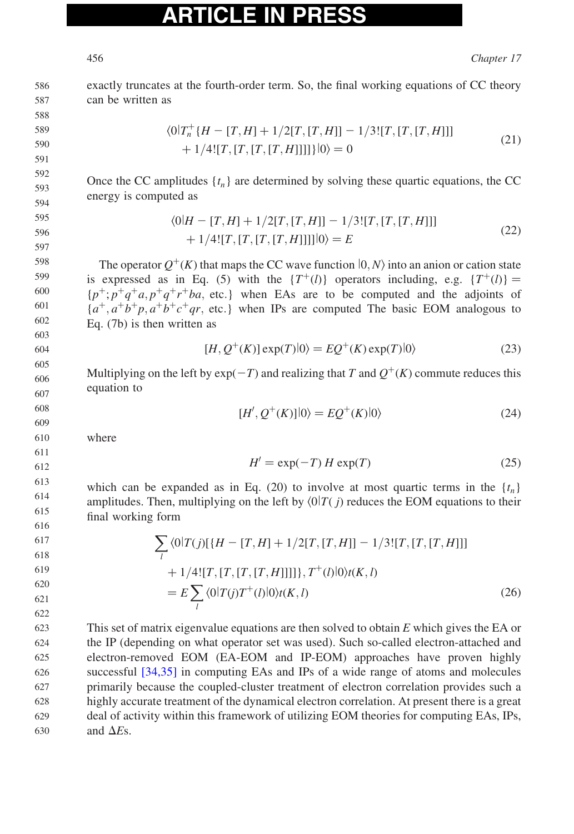### ICLE IN PRE

456 Chapter 17

exactly truncates at the fourth-order term. So, the final working equations of CC theory can be written as

$$
\langle 0|T_n^+\{H - [T, H] + 1/2[T, [T, H]] - 1/3![T, [T, [T, H]]]\n+ 1/4![T, [T, [T, [T, H]]]]\}|0\rangle = 0
$$
\n(21)

Once the CC amplitudes  $\{t_n\}$  are determined by solving these quartic equations, the CC energy is computed as

$$
\langle 0|H - [T, H] + 1/2[T, [T, H]] - 1/3![T, [T, [T, H]]]
$$
  
+ 1/4![T, [T, [T, [T, H]]]]|0\rangle = E\n
$$
(22)
$$

The operator  $O^+(K)$  that maps the CC wave function  $|0,N\rangle$  into an anion or cation state is expressed as in Eq. (5) with the  $\{T^+(l)\}$  operators including, e.g.  $\{T^+(l)\}$  ${p^+; p^+q^+a, p^+q^+r^+ba}$ , etc.} when EAs are to be computed and the adjoints of  ${a^+, a^+b^+p, a^+b^+c^+q}_$ , etc.} when IPs are computed The basic EOM analogous to Eq. (7b) is then written as

$$
[H, Q^{+}(K)] \exp(T)|0\rangle = EQ^{+}(K) \exp(T)|0\rangle \tag{23}
$$

Multiplying on the left by  $exp(-T)$  and realizing that T and  $O^+(K)$  commute reduces this equation to

$$
[H', Q^{+}(K)]|0\rangle = EQ^{+}(K)|0\rangle \tag{24}
$$

where

$$
H' = \exp(-T) H \exp(T) \tag{25}
$$

which can be expanded as in Eq. (20) to involve at most quartic terms in the  $\{t_n\}$ amplitudes. Then, multiplying on the left by  $\langle 0|T(i)\rangle$  reduces the EOM equations to their final working form

X l k0lTð jÞ½{H 2 ½T; H þ 1=2½T; ½T; H 2 1=3!½T; ½T; ½T; H þ 1=4!½T; ½T;½T; ½T; H}; TþðlÞl0ltðK; lÞ ¼ E X l k0lTðjÞTþðlÞl0ltðK; lÞ ð26Þ 617 618 619 620 621 622

This set of matrix eigenvalue equations are then solved to obtain  $E$  which gives the EA or the IP (depending on what operator set was used). Such so-called electron-attached and electron-removed EOM (EA-EOM and IP-EOM) approaches have proven highly successful [\[34,35\]](#page-21-0) in computing EAs and IPs of a wide range of atoms and molecules primarily because the coupled-cluster treatment of electron correlation provides such a highly accurate treatment of the dynamical electron correlation. At present there is a great deal of activity within this framework of utilizing EOM theories for computing EAs, IPs, and  $\Delta E$ s. 623 624 625 626 627 628 629 630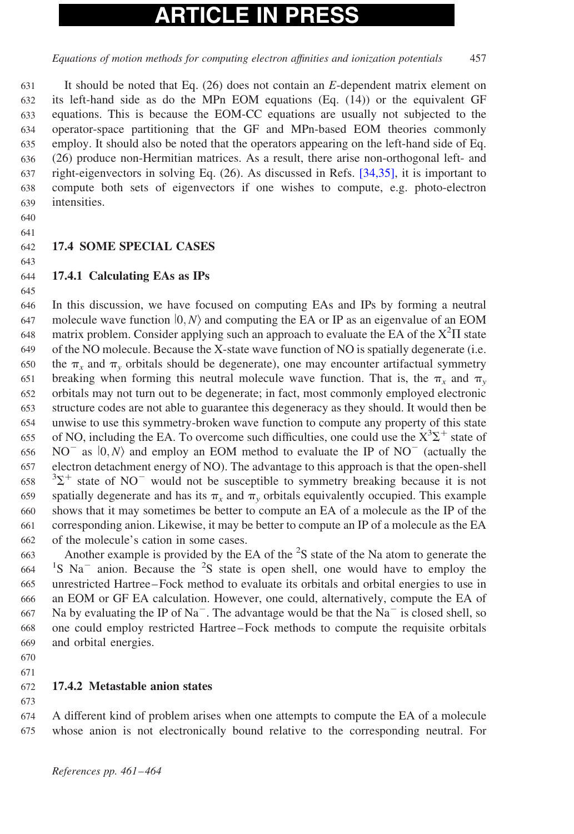Equations of motion methods for computing electron affinities and ionization potentials 457

It should be noted that Eq.  $(26)$  does not contain an E-dependent matrix element on its left-hand side as do the MPn EOM equations (Eq. (14)) or the equivalent GF equations. This is because the EOM-CC equations are usually not subjected to the operator-space partitioning that the GF and MPn-based EOM theories commonly employ. It should also be noted that the operators appearing on the left-hand side of Eq. (26) produce non-Hermitian matrices. As a result, there arise non-orthogonal left- and right-eigenvectors in solving Eq. (26). As discussed in Refs. [\[34,35\]](#page-21-0), it is important to compute both sets of eigenvectors if one wishes to compute, e.g. photo-electron intensities. 631 632 633 634 635 636 637 638 639

640 641

643

645

#### 17.4 SOME SPECIAL CASES 642

#### 17.4.1 Calculating EAs as IPs 644

In this discussion, we have focused on computing EAs and IPs by forming a neutral molecule wave function  $|0, N\rangle$  and computing the EA or IP as an eigenvalue of an EOM matrix problem. Consider applying such an approach to evaluate the EA of the  $X^2\Pi$  state of the NO molecule. Because the X-state wave function of NO is spatially degenerate (i.e. the  $\pi_r$  and  $\pi_v$  orbitals should be degenerate), one may encounter artifactual symmetry breaking when forming this neutral molecule wave function. That is, the  $\pi_r$  and  $\pi_v$ orbitals may not turn out to be degenerate; in fact, most commonly employed electronic structure codes are not able to guarantee this degeneracy as they should. It would then be unwise to use this symmetry-broken wave function to compute any property of this state of NO, including the EA. To overcome such difficulties, one could use the  $X^3\Sigma^+$  state of  $NO<sup>-</sup>$  as  $|0, N\rangle$  and employ an EOM method to evaluate the IP of NO<sup>-</sup> (actually the electron detachment energy of NO). The advantage to this approach is that the open-shell  $3\Sigma^+$  state of NO<sup>-</sup> would not be susceptible to symmetry breaking because it is not spatially degenerate and has its  $\pi_x$  and  $\pi_y$  orbitals equivalently occupied. This example shows that it may sometimes be better to compute an EA of a molecule as the IP of the corresponding anion. Likewise, it may be better to compute an IP of a molecule as the EA of the molecule's cation in some cases. 646 647 648 649 650 651 652 653 654 655 656 657 658 659 660 661 662

Another example is provided by the EA of the <sup>2</sup>S state of the Na atom to generate the  $1_S$  Ne<sup>-</sup> enjoy Because the <sup>2</sup>S state is open shall, one would have to employ the S Na<sup> $-$ </sup> anion. Because the <sup>2</sup>S state is open shell, one would have to employ the unrestricted Hartree –Fock method to evaluate its orbitals and orbital energies to use in an EOM or GF EA calculation. However, one could, alternatively, compute the EA of Na by evaluating the IP of Na<sup>-</sup>. The advantage would be that the Na<sup>-</sup> is closed shell, so one could employ restricted Hartree –Fock methods to compute the requisite orbitals and orbital energies. 663 664 665 666 667 668 669

670 671

### 17.4.2 Metastable anion states 672

673

A different kind of problem arises when one attempts to compute the EA of a molecule whose anion is not electronically bound relative to the corresponding neutral. For 674 675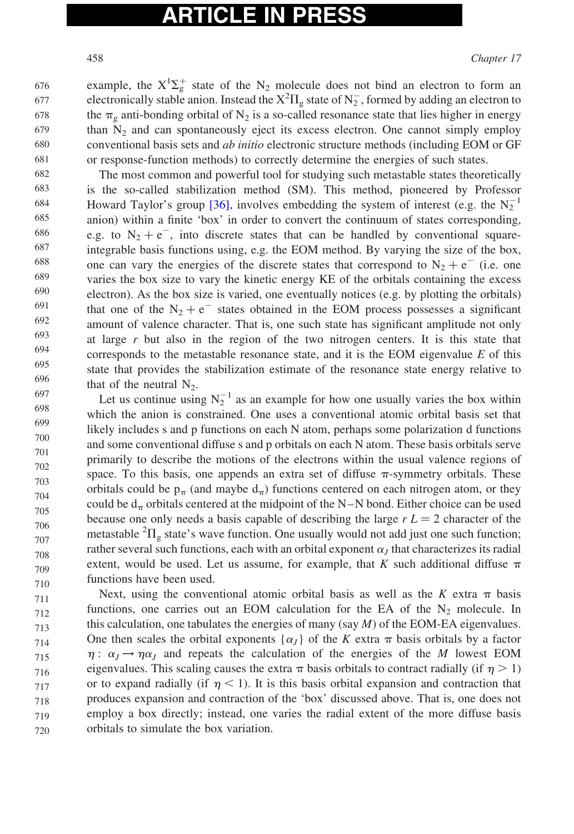458 Chapter 17

example, the  $X^1\Sigma_g^+$  state of the N<sub>2</sub> molecule does not bind an electron to form an electronically stable anion. Instead the  $X^2\Pi_{\rm g}$  state of  $N_2^-$ , formed by adding an electron to the  $\pi_{\varrho}$  anti-bonding orbital of N<sub>2</sub> is a so-called resonance state that lies higher in energy than  $N_2$  and can spontaneously eject its excess electron. One cannot simply employ conventional basis sets and ab initio electronic structure methods (including EOM or GF or response-function methods) to correctly determine the energies of such states. 676 677 678 679 680 681

The most common and powerful tool for studying such metastable states theoretically is the so-called stabilization method (SM). This method, pioneered by Professor Howard Taylor's group [\[36\]](#page-21-0), involves embedding the system of interest (e.g. the  $N_2^{-1}$ anion) within a finite 'box' in order to convert the continuum of states corresponding, e.g. to  $N_2 + e^-$ , into discrete states that can be handled by conventional squareintegrable basis functions using, e.g. the EOM method. By varying the size of the box, one can vary the energies of the discrete states that correspond to  $N_2 + e^{-}$  (i.e. one varies the box size to vary the kinetic energy KE of the orbitals containing the excess electron). As the box size is varied, one eventually notices (e.g. by plotting the orbitals) that one of the  $N_2 + e^-$  states obtained in the EOM process possesses a significant amount of valence character. That is, one such state has significant amplitude not only at large  $r$  but also in the region of the two nitrogen centers. It is this state that corresponds to the metastable resonance state, and it is the EOM eigenvalue  $E$  of this state that provides the stabilization estimate of the resonance state energy relative to that of the neutral  $N_2$ . 682 683 684 685 686 687 688 689 690 691 692 693 694 695 696

Let us continue using  $N_2^{-1}$  as an example for how one usually varies the box within which the anion is constrained. One uses a conventional atomic orbital basis set that likely includes s and p functions on each N atom, perhaps some polarization d functions and some conventional diffuse s and p orbitals on each N atom. These basis orbitals serve primarily to describe the motions of the electrons within the usual valence regions of space. To this basis, one appends an extra set of diffuse  $\pi$ -symmetry orbitals. These orbitals could be  $p_{\pi}$  (and maybe  $d_{\pi}$ ) functions centered on each nitrogen atom, or they could be  $d_{\pi}$  orbitals centered at the midpoint of the N-N bond. Either choice can be used because one only needs a basis capable of describing the large  $r L = 2$  character of the metastable  ${}^{2}\Pi_{g}$  state's wave function. One usually would not add just one such function; rather several such functions, each with an orbital exponent  $\alpha<sub>I</sub>$  that characterizes its radial extent, would be used. Let us assume, for example, that K such additional diffuse  $\pi$ functions have been used. 697 698 699 700 701 702 703 704 705 706 707 708 709 710

Next, using the conventional atomic orbital basis as well as the K extra  $\pi$  basis functions, one carries out an EOM calculation for the EA of the  $N_2$  molecule. In this calculation, one tabulates the energies of many (say  $M$ ) of the EOM-EA eigenvalues. One then scales the orbital exponents  $\{\alpha_l\}$  of the K extra  $\pi$  basis orbitals by a factor  $\eta$ :  $\alpha_1 \rightarrow \eta \alpha_1$  and repeats the calculation of the energies of the M lowest EOM eigenvalues. This scaling causes the extra  $\pi$  basis orbitals to contract radially (if  $\eta > 1$ ) or to expand radially (if  $\eta$  < 1). It is this basis orbital expansion and contraction that produces expansion and contraction of the 'box' discussed above. That is, one does not employ a box directly; instead, one varies the radial extent of the more diffuse basis orbitals to simulate the box variation. 711 712 713 714 715 716 717 718 719 720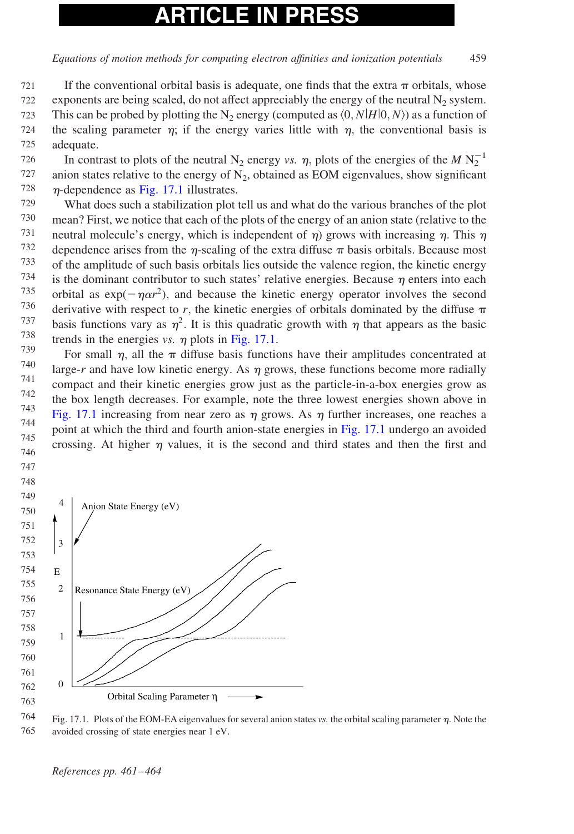<span id="page-16-0"></span>Equations of motion methods for computing electron affinities and ionization potentials 459

If the conventional orbital basis is adequate, one finds that the extra  $\pi$  orbitals, whose exponents are being scaled, do not affect appreciably the energy of the neutral  $N_2$  system. This can be probed by plotting the N<sub>2</sub> energy (computed as  $\langle 0, N|H|0, N \rangle$ ) as a function of the scaling parameter  $\eta$ ; if the energy varies little with  $\eta$ , the conventional basis is adequate. 721 722 723 724 725

In contrast to plots of the neutral N<sub>2</sub> energy *vs.*  $\eta$ , plots of the energies of the *M* N<sub>2</sub><sup>-1</sup> anion states relative to the energy of  $N_2$ , obtained as EOM eigenvalues, show significant  $\eta$ -dependence as Fig. 17.1 illustrates. 726 727 728

What does such a stabilization plot tell us and what do the various branches of the plot mean? First, we notice that each of the plots of the energy of an anion state (relative to the neutral molecule's energy, which is independent of  $\eta$ ) grows with increasing  $\eta$ . This  $\eta$ dependence arises from the  $\eta$ -scaling of the extra diffuse  $\pi$  basis orbitals. Because most of the amplitude of such basis orbitals lies outside the valence region, the kinetic energy is the dominant contributor to such states' relative energies. Because  $\eta$  enters into each orbital as  $exp(-\eta \alpha r^2)$ , and because the kinetic energy operator involves the second derivative with respect to r, the kinetic energies of orbitals dominated by the diffuse  $\pi$ basis functions vary as  $\eta^2$ . It is this quadratic growth with  $\eta$  that appears as the basic trends in the energies *vs.*  $\eta$  plots in Fig. 17.1. 729 730 731 732 733 734 735 736 737 738

For small  $\eta$ , all the  $\pi$  diffuse basis functions have their amplitudes concentrated at large-r and have low kinetic energy. As  $\eta$  grows, these functions become more radially compact and their kinetic energies grow just as the particle-in-a-box energies grow as the box length decreases. For example, note the three lowest energies shown above in Fig. 17.1 increasing from near zero as  $\eta$  grows. As  $\eta$  further increases, one reaches a point at which the third and fourth anion-state energies in Fig. 17.1 undergo an avoided crossing. At higher  $\eta$  values, it is the second and third states and then the first and 739 740 741 742 743 744 745 746



Fig. 17.1. Plots of the EOM-EA eigenvalues for several anion states vs. the orbital scaling parameter  $\eta$ . Note the avoided crossing of state energies near 1 eV. 764 765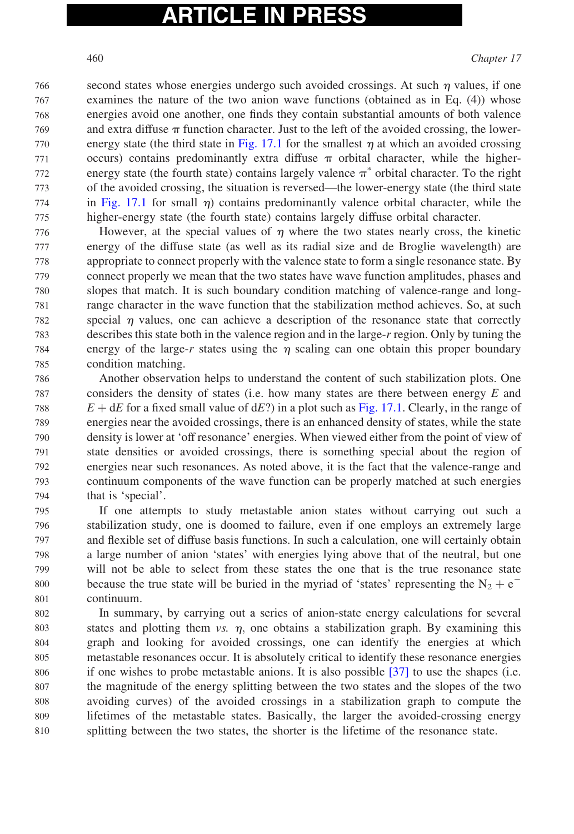second states whose energies undergo such avoided crossings. At such  $\eta$  values, if one examines the nature of the two anion wave functions (obtained as in Eq. (4)) whose energies avoid one another, one finds they contain substantial amounts of both valence and extra diffuse  $\pi$  function character. Just to the left of the avoided crossing, the lower-energy state (the third state in [Fig. 17.1](#page-16-0) for the smallest  $\eta$  at which an avoided crossing occurs) contains predominantly extra diffuse  $\pi$  orbital character, while the higherenergy state (the fourth state) contains largely valence  $\pi^*$  orbital character. To the right of the avoided crossing, the situation is reversed—the lower-energy state (the third state in [Fig. 17.1](#page-16-0) for small  $\eta$ ) contains predominantly valence orbital character, while the higher-energy state (the fourth state) contains largely diffuse orbital character. 766 767 768 769 770 771 772 773 774 775

However, at the special values of  $\eta$  where the two states nearly cross, the kinetic energy of the diffuse state (as well as its radial size and de Broglie wavelength) are appropriate to connect properly with the valence state to form a single resonance state. By connect properly we mean that the two states have wave function amplitudes, phases and slopes that match. It is such boundary condition matching of valence-range and longrange character in the wave function that the stabilization method achieves. So, at such special  $\eta$  values, one can achieve a description of the resonance state that correctly describes this state both in the valence region and in the large-r region. Only by tuning the energy of the large-r states using the  $\eta$  scaling can one obtain this proper boundary condition matching. 776 777 778 779 780 781 782 783 784 785

Another observation helps to understand the content of such stabilization plots. One considers the density of states (i.e. how many states are there between energy  $E$  and  $E + dE$  for a fixed small value of  $dE$ ?) in a plot such as [Fig. 17.1](#page-16-0). Clearly, in the range of energies near the avoided crossings, there is an enhanced density of states, while the state density is lower at 'off resonance' energies. When viewed either from the point of view of state densities or avoided crossings, there is something special about the region of energies near such resonances. As noted above, it is the fact that the valence-range and continuum components of the wave function can be properly matched at such energies that is 'special'. 786 787 788 789 790 791 792 793 794

If one attempts to study metastable anion states without carrying out such a stabilization study, one is doomed to failure, even if one employs an extremely large and flexible set of diffuse basis functions. In such a calculation, one will certainly obtain a large number of anion 'states' with energies lying above that of the neutral, but one will not be able to select from these states the one that is the true resonance state because the true state will be buried in the myriad of 'states' representing the  $N_2 + e^{-}$ continuum. 795 796 797 798 799 800 801

In summary, by carrying out a series of anion-state energy calculations for several states and plotting them vs.  $\eta$ , one obtains a stabilization graph. By examining this graph and looking for avoided crossings, one can identify the energies at which metastable resonances occur. It is absolutely critical to identify these resonance energies if one wishes to probe metastable anions. It is also possible [\[37\]](#page-21-0) to use the shapes (i.e. the magnitude of the energy splitting between the two states and the slopes of the two avoiding curves) of the avoided crossings in a stabilization graph to compute the lifetimes of the metastable states. Basically, the larger the avoided-crossing energy splitting between the two states, the shorter is the lifetime of the resonance state. 802 803 804 805 806 807 808 809 810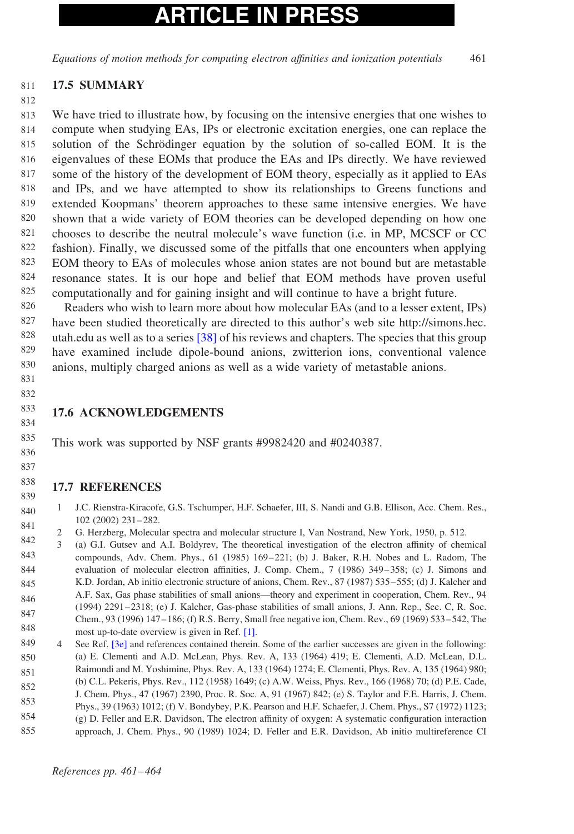<span id="page-18-0"></span>Equations of motion methods for computing electron affinities and ionization potentials 461

#### 17.5 SUMMARY 811

### 812

832

We have tried to illustrate how, by focusing on the intensive energies that one wishes to compute when studying EAs, IPs or electronic excitation energies, one can replace the solution of the Schrödinger equation by the solution of so-called EOM. It is the eigenvalues of these EOMs that produce the EAs and IPs directly. We have reviewed some of the history of the development of EOM theory, especially as it applied to EAs and IPs, and we have attempted to show its relationships to Greens functions and extended Koopmans' theorem approaches to these same intensive energies. We have shown that a wide variety of EOM theories can be developed depending on how one chooses to describe the neutral molecule's wave function (i.e. in MP, MCSCF or CC fashion). Finally, we discussed some of the pitfalls that one encounters when applying EOM theory to EAs of molecules whose anion states are not bound but are metastable resonance states. It is our hope and belief that EOM methods have proven useful computationally and for gaining insight and will continue to have a bright future. 813 814 815 816 817 818 819 820 821 822 823 824 825

Readers who wish to learn more about how molecular EAs (and to a lesser extent, IPs) have been studied theoretically are directed to this author's web site http://simons.hec. utah.edu as well as to a series [\[38\]](#page-21-0) of his reviews and chapters. The species that this group have examined include dipole-bound anions, zwitterion ions, conventional valence anions, multiply charged anions as well as a wide variety of metastable anions. 826 827 828 829 830 831

### 17.6 ACKNOWLEDGEMENTS 833 834

This work was supported by NSF grants #9982420 and #0240387.

### 17.7 REFERENCES

- 2 G. Herzberg, Molecular spectra and molecular structure I, Van Nostrand, New York, 1950, p. 512.
- 3 (a) G.I. Gutsev and A.I. Boldyrev, The theoretical investigation of the electron affinity of chemical compounds, Adv. Chem. Phys., 61 (1985) 169–221; (b) J. Baker, R.H. Nobes and L. Radom, The evaluation of molecular electron affinities, J. Comp. Chem., 7 (1986) 349-358; (c) J. Simons and K.D. Jordan, Ab initio electronic structure of anions, Chem. Rev., 87 (1987) 535–555; (d) J. Kalcher and A.F. Sax, Gas phase stabilities of small anions—theory and experiment in cooperation, Chem. Rev., 94 (1994) 2291–2318; (e) J. Kalcher, Gas-phase stabilities of small anions, J. Ann. Rep., Sec. C, R. Soc. Chem., 93 (1996) 147–186; (f) R.S. Berry, Small free negative ion, Chem. Rev., 69 (1969) 533 –542, The most up-to-date overview is given in Ref. [1]. 842 843 844 845 846 847 848
- 4 See Ref. [3e] and references contained therein. Some of the earlier successes are given in the following: (a) E. Clementi and A.D. McLean, Phys. Rev. A, 133 (1964) 419; E. Clementi, A.D. McLean, D.L. Raimondi and M. Yoshimine, Phys. Rev. A, 133 (1964) 1274; E. Clementi, Phys. Rev. A, 135 (1964) 980; (b) C.L. Pekeris, Phys. Rev., 112 (1958) 1649; (c) A.W. Weiss, Phys. Rev., 166 (1968) 70; (d) P.E. Cade, J. Chem. Phys., 47 (1967) 2390, Proc. R. Soc. A, 91 (1967) 842; (e) S. Taylor and F.E. Harris, J. Chem. 849 850 851 852
- 853
- Phys., 39 (1963) 1012; (f) V. Bondybey, P.K. Pearson and H.F. Schaefer, J. Chem. Phys., S7 (1972) 1123; (g) D. Feller and E.R. Davidson, The electron affinity of oxygen: A systematic configuration interaction 854
- approach, J. Chem. Phys., 90 (1989) 1024; D. Feller and E.R. Davidson, Ab initio multireference CI 855

<sup>1</sup> J.C. Rienstra-Kiracofe, G.S. Tschumper, H.F. Schaefer, III, S. Nandi and G.B. Ellison, Acc. Chem. Res., 102 (2002) 231–282. 840 841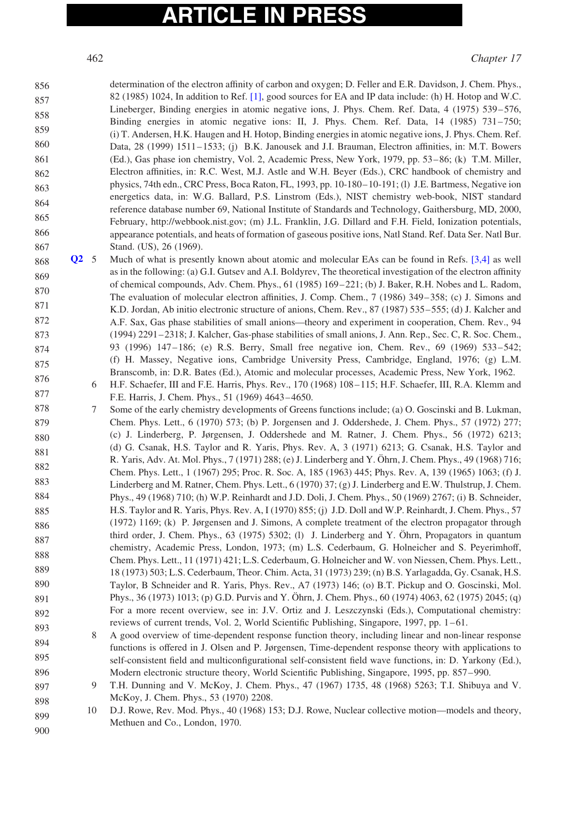<span id="page-19-0"></span>determination of the electron affinity of carbon and oxygen; D. Feller and E.R. Davidson, J. Chem. Phys., 82 (1985) 1024, In addition to Ref. [\[1\]](#page-18-0), good sources for EA and IP data include: (h) H. Hotop and W.C. Lineberger, Binding energies in atomic negative ions, J. Phys. Chem. Ref. Data, 4 (1975) 539–576, Binding energies in atomic negative ions: II, J. Phys. Chem. Ref. Data, 14 (1985) 731–750; (i) T. Andersen, H.K. Haugen and H. Hotop, Binding energies in atomic negative ions, J. Phys. Chem. Ref. Data, 28 (1999) 1511–1533; (j) B.K. Janousek and J.I. Brauman, Electron affinities, in: M.T. Bowers (Ed.), Gas phase ion chemistry, Vol. 2, Academic Press, New York, 1979, pp. 53–86; (k) T.M. Miller, Electron affinities, in: R.C. West, M.J. Astle and W.H. Beyer (Eds.), CRC handbook of chemistry and physics, 74th edn., CRC Press, Boca Raton, FL, 1993, pp. 10-180–10-191; (l) J.E. Bartmess, Negative ion energetics data, in: W.G. Ballard, P.S. Linstrom (Eds.), NIST chemistry web-book, NIST standard reference database number 69, National Institute of Standards and Technology, Gaithersburg, MD, 2000, February, http://webbook.nist.gov; (m) J.L. Franklin, J.G. Dillard and F.H. Field, Ionization potentials, appearance potentials, and heats of formation of gaseous positive ions, Natl Stand. Ref. Data Ser. Natl Bur. Stand. (US), 26 (1969). 856 857 858 859 860 861 862 863 864 865 866 867

- Q2 5 Much of what is presently known about atomic and molecular EAs can be found in Refs. [\[3,4\]](#page-18-0) as well as in the following: (a) G.I. Gutsev and A.I. Boldyrev, The theoretical investigation of the electron affinity of chemical compounds, Adv. Chem. Phys., 61 (1985) 169–221; (b) J. Baker, R.H. Nobes and L. Radom, The evaluation of molecular electron affinities, J. Comp. Chem., 7 (1986) 349– 358; (c) J. Simons and K.D. Jordan, Ab initio electronic structure of anions, Chem. Rev., 87 (1987) 535–555; (d) J. Kalcher and A.F. Sax, Gas phase stabilities of small anions—theory and experiment in cooperation, Chem. Rev., 94 (1994) 2291–2318; J. Kalcher, Gas-phase stabilities of small anions, J. Ann. Rep., Sec. C, R. Soc. Chem., 93 (1996) 147 –186; (e) R.S. Berry, Small free negative ion, Chem. Rev., 69 (1969) 533–542; (f) H. Massey, Negative ions, Cambridge University Press, Cambridge, England, 1976; (g) L.M. Branscomb, in: D.R. Bates (Ed.), Atomic and molecular processes, Academic Press, New York, 1962. 868 869 870 871 872 873 874 875 876
- 6 H.F. Schaefer, III and F.E. Harris, Phys. Rev., 170 (1968) 108 –115; H.F. Schaefer, III, R.A. Klemm and F.E. Harris, J. Chem. Phys., 51 (1969) 4643–4650. 7 Some of the early chemistry developments of Greens functions include; (a) O. Goscinski and B. Lukman, 877 878
- Chem. Phys. Lett., 6 (1970) 573; (b) P. Jorgensen and J. Oddershede, J. Chem. Phys., 57 (1972) 277; (c) J. Linderberg, P. Jørgensen, J. Oddershede and M. Ratner, J. Chem. Phys., 56 (1972) 6213; (d) G. Csanak, H.S. Taylor and R. Yaris, Phys. Rev. A, 3 (1971) 6213; G. Csanak, H.S. Taylor and R. Yaris, Adv. At. Mol. Phys., 7 (1971) 288; (e) J. Linderberg and Y. Öhrn, J. Chem. Phys., 49 (1968) 716; Chem. Phys. Lett., 1 (1967) 295; Proc. R. Soc. A, 185 (1963) 445; Phys. Rev. A, 139 (1965) 1063; (f) J. Linderberg and M. Ratner, Chem. Phys. Lett., 6 (1970) 37; (g) J. Linderberg and E.W. Thulstrup, J. Chem. Phys., 49 (1968) 710; (h) W.P. Reinhardt and J.D. Doli, J. Chem. Phys., 50 (1969) 2767; (i) B. Schneider, H.S. Taylor and R. Yaris, Phys. Rev. A, I (1970) 855; (j) J.D. Doll and W.P. Reinhardt, J. Chem. Phys., 57 (1972) 1169; (k) P. Jørgensen and J. Simons, A complete treatment of the electron propagator through third order, J. Chem. Phys., 63 (1975) 5302; (l) J. Linderberg and Y. Öhrn, Propagators in quantum chemistry, Academic Press, London, 1973; (m) L.S. Cederbaum, G. Holneicher and S. Peyerimhoff, Chem. Phys. Lett., 11 (1971) 421; L.S. Cederbaum, G. Holneicher and W. von Niessen, Chem. Phys. Lett., 18 (1973) 503; L.S. Cederbaum, Theor. Chim. Acta, 31 (1973) 239; (n) B.S. Yarlagadda, Gy. Csanak, H.S. Taylor, B Schneider and R. Yaris, Phys. Rev., A7 (1973) 146; (o) B.T. Pickup and O. Goscinski, Mol. Phys., 36 (1973) 1013; (p) G.D. Purvis and Y. Öhrn, J. Chem. Phys., 60 (1974) 4063, 62 (1975) 2045; (q) For a more recent overview, see in: J.V. Ortiz and J. Leszczynski (Eds.), Computational chemistry: reviews of current trends, Vol. 2, World Scientific Publishing, Singapore, 1997, pp. 1–61. 879 880 881 882 883 884 885 886 887 888 889 890 891 892 893
- 8 A good overview of time-dependent response function theory, including linear and non-linear response functions is offered in J. Olsen and P. Jørgensen, Time-dependent response theory with applications to self-consistent field and multiconfigurational self-consistent field wave functions, in: D. Yarkony (Ed.), Modern electronic structure theory, World Scientific Publishing, Singapore, 1995, pp. 857–990. 894 895 896
- 9 T.H. Dunning and V. McKoy, J. Chem. Phys., 47 (1967) 1735, 48 (1968) 5263; T.I. Shibuya and V. McKoy, J. Chem. Phys., 53 (1970) 2208. 897 898
- 10 D.J. Rowe, Rev. Mod. Phys., 40 (1968) 153; D.J. Rowe, Nuclear collective motion—models and theory, Methuen and Co., London, 1970. 899 900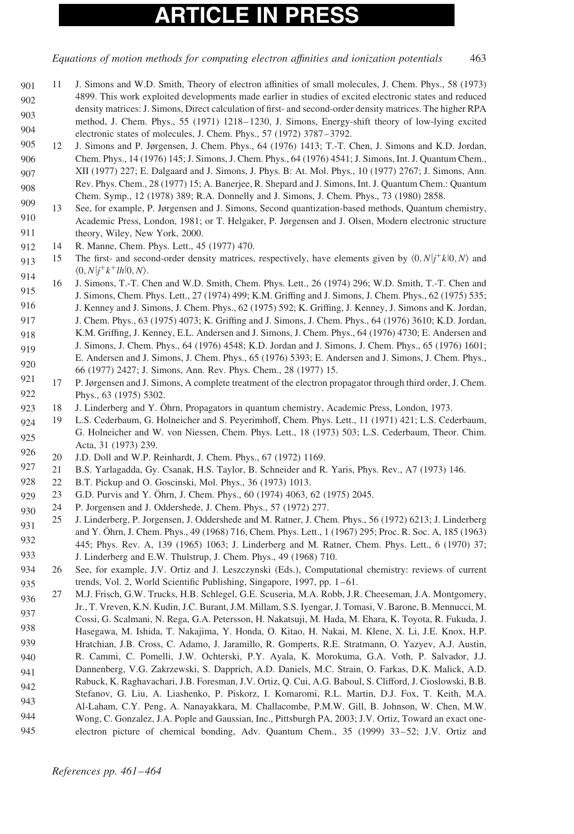<span id="page-20-0"></span>Equations of motion methods for computing electron affinities and ionization potentials 463

- 11 J. Simons and W.D. Smith, Theory of electron affinities of small molecules, J. Chem. Phys., 58 (1973) 4899. This work exploited developments made earlier in studies of excited electronic states and reduced density matrices: J. Simons, Direct calculation of first- and second-order density matrices. The higher RPA method, J. Chem. Phys., 55 (1971) 1218–1230, J. Simons, Energy-shift theory of low-lying excited electronic states of molecules, J. Chem. Phys., 57 (1972) 3787–3792. 901 902 903 904
- 12 J. Simons and P. Jørgensen, J. Chem. Phys., 64 (1976) 1413; T.-T. Chen, J. Simons and K.D. Jordan, Chem. Phys., 14 (1976) 145; J. Simons, J. Chem. Phys., 64 (1976) 4541; J. Simons, Int. J. Quantum Chem., XII (1977) 227; E. Dalgaard and J. Simons, J. Phys. B: At. Mol. Phys., 10 (1977) 2767; J. Simons, Ann. Rev. Phys. Chem., 28 (1977) 15; A. Banerjee, R. Shepard and J. Simons, Int. J. Quantum Chem.: Quantum Chem. Symp., 12 (1978) 389; R.A. Donnelly and J. Simons, J. Chem. Phys., 73 (1980) 2858. 905 906 907 908
- 13 See, for example, P. Jørgensen and J. Simons, Second quantization-based methods, Quantum chemistry, Academic Press, London, 1981; or T. Helgaker, P. Jørgensen and J. Olsen, Modern electronic structure theory, Wiley, New York, 2000. 909 910 911
- 14 R. Manne, Chem. Phys. Lett., 45 (1977) 470. 912
- 15 The first- and second-order density matrices, respectively, have elements given by  $\langle 0, N | j^{+} k | 0, N \rangle$  and  $\langle 0, N | j^+ k^+ l h | 0, N \rangle$ . 913 914
- 16 J. Simons, T.-T. Chen and W.D. Smith, Chem. Phys. Lett., 26 (1974) 296; W.D. Smith, T.-T. Chen and J. Simons, Chem. Phys. Lett., 27 (1974) 499; K.M. Griffing and J. Simons, J. Chem. Phys., 62 (1975) 535; 915
- J. Kenney and J. Simons, J. Chem. Phys., 62 (1975) 592; K. Griffing, J. Kenney, J. Simons and K. Jordan, J. Chem. Phys., 63 (1975) 4073; K. Griffing and J. Simons, J. Chem. Phys., 64 (1976) 3610; K.D. Jordan, 916 917
- K.M. Griffing, J. Kenney, E.L. Andersen and J. Simons, J. Chem. Phys., 64 (1976) 4730; E. Andersen and J. Simons, J. Chem. Phys., 64 (1976) 4548; K.D. Jordan and J. Simons, J. Chem. Phys., 65 (1976) 1601; 918
- E. Andersen and J. Simons, J. Chem. Phys., 65 (1976) 5393; E. Andersen and J. Simons, J. Chem. Phys., 66 (1977) 2427; J. Simons, Ann. Rev. Phys. Chem., 28 (1977) 15. 919 920
- 17 P. Jørgensen and J. Simons, A complete treatment of the electron propagator through third order, J. Chem. Phys., 63 (1975) 5302. 921 922
- 18 J. Linderberg and Y. Öhrn, Propagators in quantum chemistry, Academic Press, London, 1973. 923
- 19 L.S. Cederbaum, G. Holneicher and S. Peyerimhoff, Chem. Phys. Lett., 11 (1971) 421; L.S. Cederbaum, G. Holneicher and W. von Niessen, Chem. Phys. Lett., 18 (1973) 503; L.S. Cederbaum, Theor. Chim. Acta, 31 (1973) 239. 924 925
- 20 J.D. Doll and W.P. Reinhardt, J. Chem. Phys., 67 (1972) 1169. 926
- 21 B.S. Yarlagadda, Gy. Csanak, H.S. Taylor, B. Schneider and R. Yaris, Phys. Rev., A7 (1973) 146. 927
- 22 B.T. Pickup and O. Goscinski, Mol. Phys., 36 (1973) 1013. 928
- 23 G.D. Purvis and Y. Öhrn, J. Chem. Phys., 60 (1974) 4063, 62 (1975) 2045. 929
- 24 P. Jorgensen and J. Oddershede, J. Chem. Phys., 57 (1972) 277. 930
- 25 J. Linderberg, P. Jorgensen, J. Oddershede and M. Ratner, J. Chem. Phys., 56 (1972) 6213; J. Linderberg and Y. Öhrn, J. Chem. Phys., 49 (1968) 716, Chem. Phys. Lett., 1 (1967) 295; Proc. R. Soc. A, 185 (1963) 445; Phys. Rev. A, 139 (1965) 1063; J. Linderberg and M. Ratner, Chem. Phys. Lett., 6 (1970) 37; J. Linderberg and E.W. Thulstrup, J. Chem. Phys., 49 (1968) 710. 931 932 933
- 26 See, for example, J.V. Ortiz and J. Leszczynski (Eds.), Computational chemistry: reviews of current trends, Vol. 2, World Scientific Publishing, Singapore, 1997, pp. 1–61. 934 935
- 27 M.J. Frisch, G.W. Trucks, H.B. Schlegel, G.E. Scuseria, M.A. Robb, J.R. Cheeseman, J.A. Montgomery, Jr., T. Vreven, K.N. Kudin, J.C. Burant, J.M. Millam, S.S. Iyengar, J. Tomasi, V. Barone, B. Mennucci, M. Cossi, G. Scalmani, N. Rega, G.A. Petersson, H. Nakatsuji, M. Hada, M. Ehara, K. Toyota, R. Fukuda, J. Hasegawa, M. Ishida, T. Nakajima, Y. Honda, O. Kitao, H. Nakai, M. Klene, X. Li, J.E. Knox, H.P. 936 937 938
- Hratchian, J.B. Cross, C. Adamo, J. Jaramillo, R. Gomperts, R.E. Stratmann, O. Yazyev, A.J. Austin, 939
- R. Cammi, C. Pomelli, J.W. Ochterski, P.Y. Ayala, K. Morokuma, G.A. Voth, P. Salvador, J.J. 940
- Dannenberg, V.G. Zakrzewski, S. Dapprich, A.D. Daniels, M.C. Strain, O. Farkas, D.K. Malick, A.D. 941
- Rabuck, K. Raghavachari, J.B. Foresman, J.V. Ortiz, Q. Cui, A.G. Baboul, S. Clifford, J. Cioslowski, B.B. 942
- Stefanov, G. Liu, A. Liashenko, P. Piskorz, I. Komaromi, R.L. Martin, D.J. Fox, T. Keith, M.A. 943
- Al-Laham, C.Y. Peng, A. Nanayakkara, M. Challacombe, P.M.W. Gill, B. Johnson, W. Chen, M.W. Wong, C. Gonzalez, J.A. Pople and Gaussian, Inc., Pittsburgh PA, 2003; J.V. Ortiz, Toward an exact one-944
- electron picture of chemical bonding, Adv. Quantum Chem., 35 (1999) 33–52; J.V. Ortiz and 945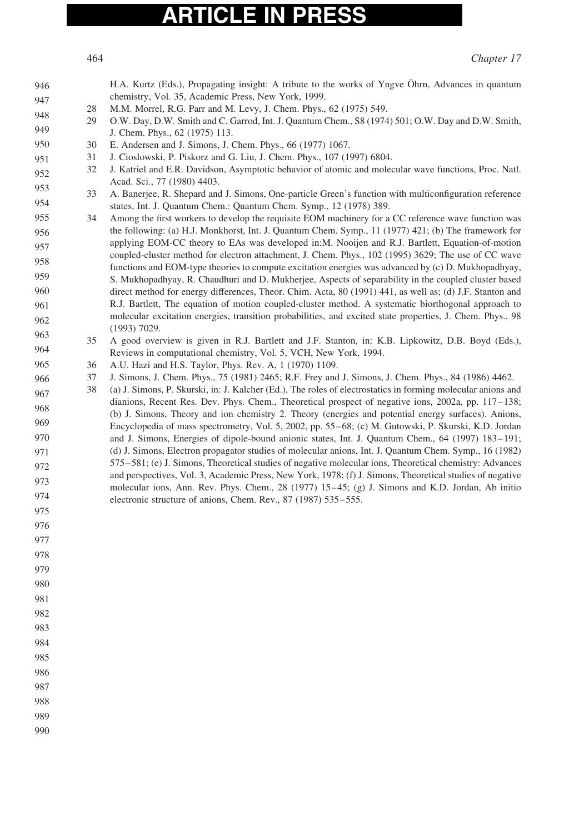464 Chapter 17

<span id="page-21-0"></span>

| 946<br>947<br>948<br>949<br>950<br>951<br>952<br>953<br>954<br>955<br>956<br>957<br>958<br>959<br>960<br>961<br>962<br>963<br>964<br>965<br>966<br>967<br>968<br>969<br>970<br>971<br>972<br>973<br>974<br>975<br>976<br>977<br>978<br>979<br>980<br>981<br>982 | 28<br>29<br>30<br>31<br>32<br>33<br>34<br>35<br>36<br>37<br>38 | H.A. Kurtz (Eds.), Propagating insight: A tribute to the works of Yngve Öhrn, Advances in quantum<br>chemistry, Vol. 35, Academic Press, New York, 1999.<br>M.M. Morrel, R.G. Parr and M. Levy, J. Chem. Phys., 62 (1975) 549.<br>O.W. Day, D.W. Smith and C. Garrod, Int. J. Quantum Chem., S8 (1974) 501; O.W. Day and D.W. Smith,<br>J. Chem. Phys., 62 (1975) 113.<br>E. Andersen and J. Simons, J. Chem. Phys., 66 (1977) 1067.<br>J. Cioslowski, P. Piskorz and G. Liu, J. Chem. Phys., 107 (1997) 6804.<br>J. Katriel and E.R. Davidson, Asymptotic behavior of atomic and molecular wave functions, Proc. Natl.<br>Acad. Sci., 77 (1980) 4403.<br>A. Banerjee, R. Shepard and J. Simons, One-particle Green's function with multiconfiguration reference<br>states, Int. J. Quantum Chem.: Quantum Chem. Symp., 12 (1978) 389.<br>Among the first workers to develop the requisite EOM machinery for a CC reference wave function was<br>the following: (a) H.J. Monkhorst, Int. J. Quantum Chem. Symp., 11 (1977) 421; (b) The framework for<br>applying EOM-CC theory to EAs was developed in:M. Nooijen and R.J. Bartlett, Equation-of-motion<br>coupled-cluster method for electron attachment, J. Chem. Phys., 102 (1995) 3629; The use of CC wave<br>functions and EOM-type theories to compute excitation energies was advanced by (c) D. Mukhopadhyay,<br>S. Mukhopadhyay, R. Chaudhuri and D. Mukherjee, Aspects of separability in the coupled cluster based<br>direct method for energy differences, Theor. Chim. Acta, 80 (1991) 441, as well as; (d) J.F. Stanton and<br>R.J. Bartlett, The equation of motion coupled-cluster method. A systematic biorthogonal approach to<br>molecular excitation energies, transition probabilities, and excited state properties, J. Chem. Phys., 98<br>$(1993)$ 7029.<br>A good overview is given in R.J. Bartlett and J.F. Stanton, in: K.B. Lipkowitz, D.B. Boyd (Eds.),<br>Reviews in computational chemistry, Vol. 5, VCH, New York, 1994.<br>A.U. Hazi and H.S. Taylor, Phys. Rev. A, 1 (1970) 1109.<br>J. Simons, J. Chem. Phys., 75 (1981) 2465; R.F. Frey and J. Simons, J. Chem. Phys., 84 (1986) 4462.<br>(a) J. Simons, P. Skurski, in: J. Kalcher (Ed.), The roles of electrostatics in forming molecular anions and<br>dianions, Recent Res. Dev. Phys. Chem., Theoretical prospect of negative ions, 2002a, pp. 117–138;<br>(b) J. Simons, Theory and ion chemistry 2. Theory (energies and potential energy surfaces). Anions,<br>Encyclopedia of mass spectrometry, Vol. 5, 2002, pp. 55–68; (c) M. Gutowski, P. Skurski, K.D. Jordan<br>and J. Simons, Energies of dipole-bound anionic states, Int. J. Quantum Chem., 64 (1997) 183–191;<br>(d) J. Simons, Electron propagator studies of molecular anions, Int. J. Quantum Chem. Symp., 16 (1982)<br>575–581; (e) J. Simons, Theoretical studies of negative molecular ions, Theoretical chemistry: Advances<br>and perspectives, Vol. 3, Academic Press, New York, 1978; (f) J. Simons, Theoretical studies of negative<br>molecular ions, Ann. Rev. Phys. Chem., 28 (1977) 15–45; (g) J. Simons and K.D. Jordan, Ab initio<br>electronic structure of anions, Chem. Rev., 87 (1987) 535–555. |
|-----------------------------------------------------------------------------------------------------------------------------------------------------------------------------------------------------------------------------------------------------------------|----------------------------------------------------------------|------------------------------------------------------------------------------------------------------------------------------------------------------------------------------------------------------------------------------------------------------------------------------------------------------------------------------------------------------------------------------------------------------------------------------------------------------------------------------------------------------------------------------------------------------------------------------------------------------------------------------------------------------------------------------------------------------------------------------------------------------------------------------------------------------------------------------------------------------------------------------------------------------------------------------------------------------------------------------------------------------------------------------------------------------------------------------------------------------------------------------------------------------------------------------------------------------------------------------------------------------------------------------------------------------------------------------------------------------------------------------------------------------------------------------------------------------------------------------------------------------------------------------------------------------------------------------------------------------------------------------------------------------------------------------------------------------------------------------------------------------------------------------------------------------------------------------------------------------------------------------------------------------------------------------------------------------------------------------------------------------------------------------------------------------------------------------------------------------------------------------------------------------------------------------------------------------------------------------------------------------------------------------------------------------------------------------------------------------------------------------------------------------------------------------------------------------------------------------------------------------------------------------------------------------------------------------------------------------------------------------------------------------------------------------------------------------------------------------------------------------------------------------------------------------------------------------------------------------------------------------------------------------------------------------------------------------------------------------------------------------------------------------------------------------------------------------------------------------------------------------------------------------------------------------------------------------------------------------|
|                                                                                                                                                                                                                                                                 |                                                                |                                                                                                                                                                                                                                                                                                                                                                                                                                                                                                                                                                                                                                                                                                                                                                                                                                                                                                                                                                                                                                                                                                                                                                                                                                                                                                                                                                                                                                                                                                                                                                                                                                                                                                                                                                                                                                                                                                                                                                                                                                                                                                                                                                                                                                                                                                                                                                                                                                                                                                                                                                                                                                                                                                                                                                                                                                                                                                                                                                                                                                                                                                                                                                                                                              |
|                                                                                                                                                                                                                                                                 |                                                                |                                                                                                                                                                                                                                                                                                                                                                                                                                                                                                                                                                                                                                                                                                                                                                                                                                                                                                                                                                                                                                                                                                                                                                                                                                                                                                                                                                                                                                                                                                                                                                                                                                                                                                                                                                                                                                                                                                                                                                                                                                                                                                                                                                                                                                                                                                                                                                                                                                                                                                                                                                                                                                                                                                                                                                                                                                                                                                                                                                                                                                                                                                                                                                                                                              |
|                                                                                                                                                                                                                                                                 |                                                                |                                                                                                                                                                                                                                                                                                                                                                                                                                                                                                                                                                                                                                                                                                                                                                                                                                                                                                                                                                                                                                                                                                                                                                                                                                                                                                                                                                                                                                                                                                                                                                                                                                                                                                                                                                                                                                                                                                                                                                                                                                                                                                                                                                                                                                                                                                                                                                                                                                                                                                                                                                                                                                                                                                                                                                                                                                                                                                                                                                                                                                                                                                                                                                                                                              |
|                                                                                                                                                                                                                                                                 |                                                                |                                                                                                                                                                                                                                                                                                                                                                                                                                                                                                                                                                                                                                                                                                                                                                                                                                                                                                                                                                                                                                                                                                                                                                                                                                                                                                                                                                                                                                                                                                                                                                                                                                                                                                                                                                                                                                                                                                                                                                                                                                                                                                                                                                                                                                                                                                                                                                                                                                                                                                                                                                                                                                                                                                                                                                                                                                                                                                                                                                                                                                                                                                                                                                                                                              |
|                                                                                                                                                                                                                                                                 |                                                                |                                                                                                                                                                                                                                                                                                                                                                                                                                                                                                                                                                                                                                                                                                                                                                                                                                                                                                                                                                                                                                                                                                                                                                                                                                                                                                                                                                                                                                                                                                                                                                                                                                                                                                                                                                                                                                                                                                                                                                                                                                                                                                                                                                                                                                                                                                                                                                                                                                                                                                                                                                                                                                                                                                                                                                                                                                                                                                                                                                                                                                                                                                                                                                                                                              |
|                                                                                                                                                                                                                                                                 |                                                                |                                                                                                                                                                                                                                                                                                                                                                                                                                                                                                                                                                                                                                                                                                                                                                                                                                                                                                                                                                                                                                                                                                                                                                                                                                                                                                                                                                                                                                                                                                                                                                                                                                                                                                                                                                                                                                                                                                                                                                                                                                                                                                                                                                                                                                                                                                                                                                                                                                                                                                                                                                                                                                                                                                                                                                                                                                                                                                                                                                                                                                                                                                                                                                                                                              |
|                                                                                                                                                                                                                                                                 |                                                                |                                                                                                                                                                                                                                                                                                                                                                                                                                                                                                                                                                                                                                                                                                                                                                                                                                                                                                                                                                                                                                                                                                                                                                                                                                                                                                                                                                                                                                                                                                                                                                                                                                                                                                                                                                                                                                                                                                                                                                                                                                                                                                                                                                                                                                                                                                                                                                                                                                                                                                                                                                                                                                                                                                                                                                                                                                                                                                                                                                                                                                                                                                                                                                                                                              |
| 983                                                                                                                                                                                                                                                             |                                                                |                                                                                                                                                                                                                                                                                                                                                                                                                                                                                                                                                                                                                                                                                                                                                                                                                                                                                                                                                                                                                                                                                                                                                                                                                                                                                                                                                                                                                                                                                                                                                                                                                                                                                                                                                                                                                                                                                                                                                                                                                                                                                                                                                                                                                                                                                                                                                                                                                                                                                                                                                                                                                                                                                                                                                                                                                                                                                                                                                                                                                                                                                                                                                                                                                              |
| 984                                                                                                                                                                                                                                                             |                                                                |                                                                                                                                                                                                                                                                                                                                                                                                                                                                                                                                                                                                                                                                                                                                                                                                                                                                                                                                                                                                                                                                                                                                                                                                                                                                                                                                                                                                                                                                                                                                                                                                                                                                                                                                                                                                                                                                                                                                                                                                                                                                                                                                                                                                                                                                                                                                                                                                                                                                                                                                                                                                                                                                                                                                                                                                                                                                                                                                                                                                                                                                                                                                                                                                                              |
| 985                                                                                                                                                                                                                                                             |                                                                |                                                                                                                                                                                                                                                                                                                                                                                                                                                                                                                                                                                                                                                                                                                                                                                                                                                                                                                                                                                                                                                                                                                                                                                                                                                                                                                                                                                                                                                                                                                                                                                                                                                                                                                                                                                                                                                                                                                                                                                                                                                                                                                                                                                                                                                                                                                                                                                                                                                                                                                                                                                                                                                                                                                                                                                                                                                                                                                                                                                                                                                                                                                                                                                                                              |
| 986                                                                                                                                                                                                                                                             |                                                                |                                                                                                                                                                                                                                                                                                                                                                                                                                                                                                                                                                                                                                                                                                                                                                                                                                                                                                                                                                                                                                                                                                                                                                                                                                                                                                                                                                                                                                                                                                                                                                                                                                                                                                                                                                                                                                                                                                                                                                                                                                                                                                                                                                                                                                                                                                                                                                                                                                                                                                                                                                                                                                                                                                                                                                                                                                                                                                                                                                                                                                                                                                                                                                                                                              |
| 987                                                                                                                                                                                                                                                             |                                                                |                                                                                                                                                                                                                                                                                                                                                                                                                                                                                                                                                                                                                                                                                                                                                                                                                                                                                                                                                                                                                                                                                                                                                                                                                                                                                                                                                                                                                                                                                                                                                                                                                                                                                                                                                                                                                                                                                                                                                                                                                                                                                                                                                                                                                                                                                                                                                                                                                                                                                                                                                                                                                                                                                                                                                                                                                                                                                                                                                                                                                                                                                                                                                                                                                              |
| 988                                                                                                                                                                                                                                                             |                                                                |                                                                                                                                                                                                                                                                                                                                                                                                                                                                                                                                                                                                                                                                                                                                                                                                                                                                                                                                                                                                                                                                                                                                                                                                                                                                                                                                                                                                                                                                                                                                                                                                                                                                                                                                                                                                                                                                                                                                                                                                                                                                                                                                                                                                                                                                                                                                                                                                                                                                                                                                                                                                                                                                                                                                                                                                                                                                                                                                                                                                                                                                                                                                                                                                                              |
| 989                                                                                                                                                                                                                                                             |                                                                |                                                                                                                                                                                                                                                                                                                                                                                                                                                                                                                                                                                                                                                                                                                                                                                                                                                                                                                                                                                                                                                                                                                                                                                                                                                                                                                                                                                                                                                                                                                                                                                                                                                                                                                                                                                                                                                                                                                                                                                                                                                                                                                                                                                                                                                                                                                                                                                                                                                                                                                                                                                                                                                                                                                                                                                                                                                                                                                                                                                                                                                                                                                                                                                                                              |
| 990                                                                                                                                                                                                                                                             |                                                                |                                                                                                                                                                                                                                                                                                                                                                                                                                                                                                                                                                                                                                                                                                                                                                                                                                                                                                                                                                                                                                                                                                                                                                                                                                                                                                                                                                                                                                                                                                                                                                                                                                                                                                                                                                                                                                                                                                                                                                                                                                                                                                                                                                                                                                                                                                                                                                                                                                                                                                                                                                                                                                                                                                                                                                                                                                                                                                                                                                                                                                                                                                                                                                                                                              |
|                                                                                                                                                                                                                                                                 |                                                                |                                                                                                                                                                                                                                                                                                                                                                                                                                                                                                                                                                                                                                                                                                                                                                                                                                                                                                                                                                                                                                                                                                                                                                                                                                                                                                                                                                                                                                                                                                                                                                                                                                                                                                                                                                                                                                                                                                                                                                                                                                                                                                                                                                                                                                                                                                                                                                                                                                                                                                                                                                                                                                                                                                                                                                                                                                                                                                                                                                                                                                                                                                                                                                                                                              |
|                                                                                                                                                                                                                                                                 |                                                                |                                                                                                                                                                                                                                                                                                                                                                                                                                                                                                                                                                                                                                                                                                                                                                                                                                                                                                                                                                                                                                                                                                                                                                                                                                                                                                                                                                                                                                                                                                                                                                                                                                                                                                                                                                                                                                                                                                                                                                                                                                                                                                                                                                                                                                                                                                                                                                                                                                                                                                                                                                                                                                                                                                                                                                                                                                                                                                                                                                                                                                                                                                                                                                                                                              |